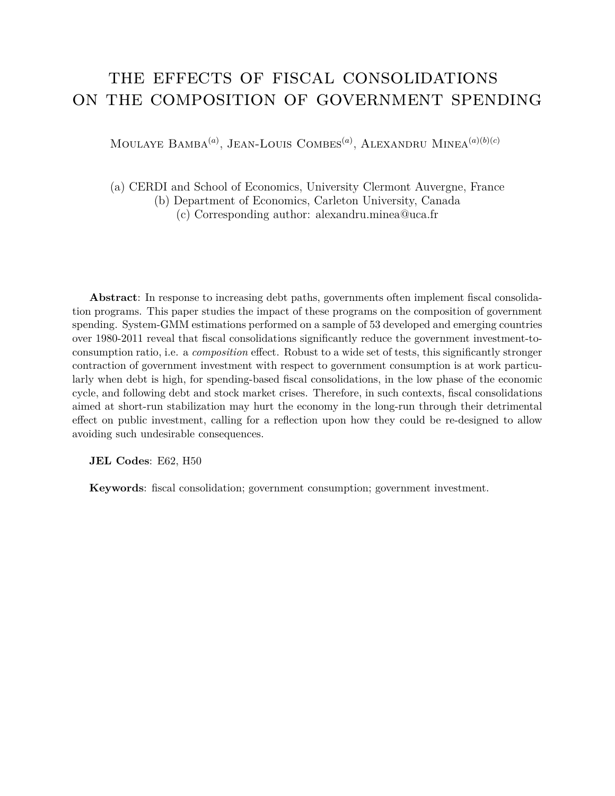## <span id="page-0-0"></span>THE EFFECTS OF FISCAL CONSOLIDATIONS on the composition of government spending

Moulaye Bamba(*a*) , Jean-Louis Combes(*a*) , Alexandru Minea(*a*)(*b*)(*c*)

(a) CERDI and School of Economics, University Clermont Auvergne, France

(b) Department of Economics, Carleton University, Canada

(c) Corresponding author: alexandru.minea@uca.fr

**Abstract**: In response to increasing debt paths, governments often implement fiscal consolidation programs. This paper studies the impact of these programs on the composition of government spending. System-GMM estimations performed on a sample of 53 developed and emerging countries over 1980-2011 reveal that fiscal consolidations significantly reduce the government investment-toconsumption ratio, i.e. a *composition* effect. Robust to a wide set of tests, this significantly stronger contraction of government investment with respect to government consumption is at work particularly when debt is high, for spending-based fiscal consolidations, in the low phase of the economic cycle, and following debt and stock market crises. Therefore, in such contexts, fiscal consolidations aimed at short-run stabilization may hurt the economy in the long-run through their detrimental effect on public investment, calling for a reflection upon how they could be re-designed to allow avoiding such undesirable consequences.

**JEL Codes**: E62, H50

**Keywords**: fiscal consolidation; government consumption; government investment.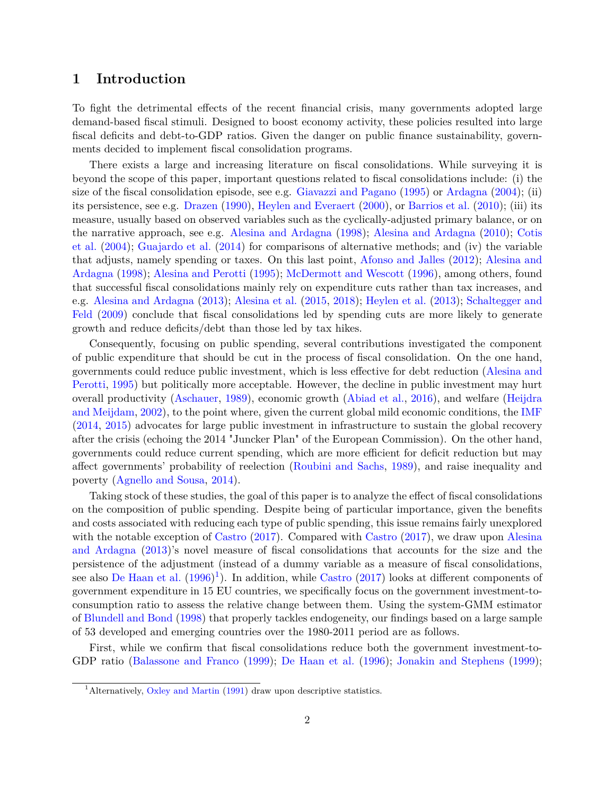## **1 Introduction**

To fight the detrimental effects of the recent financial crisis, many governments adopted large demand-based fiscal stimuli. Designed to boost economy activity, these policies resulted into large fiscal deficits and debt-to-GDP ratios. Given the danger on public finance sustainability, governments decided to implement fiscal consolidation programs.

There exists a large and increasing literature on fiscal consolidations. While surveying it is beyond the scope of this paper, important questions related to fiscal consolidations include: (i) the size of the fiscal consolidation episode, see e.g. [Giavazzi and Pagano](#page-21-0) [\(1995\)](#page-21-0) or [Ardagna](#page-20-0) [\(2004\)](#page-20-0); (ii) its persistence, see e.g. [Drazen](#page-21-1) [\(1990\)](#page-21-1), [Heylen and Everaert](#page-21-2) [\(2000\)](#page-21-2), or [Barrios et al.](#page-21-3) [\(2010\)](#page-21-3); (iii) its measure, usually based on observed variables such as the cyclically-adjusted primary balance, or on the narrative approach, see e.g. [Alesina and Ardagna](#page-20-1) [\(1998\)](#page-20-1); [Alesina and Ardagna](#page-20-2) [\(2010\)](#page-20-2); [Cotis](#page-21-4) [et al.](#page-21-4) [\(2004\)](#page-21-4); [Guajardo et al.](#page-21-5) [\(2014\)](#page-21-5) for comparisons of alternative methods; and (iv) the variable that adjusts, namely spending or taxes. On this last point, [Afonso and Jalles](#page-20-3) [\(2012\)](#page-20-3); [Alesina and](#page-20-1) [Ardagna](#page-20-1) [\(1998\)](#page-20-1); [Alesina and Perotti](#page-20-4) [\(1995\)](#page-20-4); [McDermott and Wescott](#page-22-0) [\(1996\)](#page-22-0), among others, found that successful fiscal consolidations mainly rely on expenditure cuts rather than tax increases, and e.g. [Alesina and Ardagna](#page-20-5) [\(2013\)](#page-20-5); [Alesina et al.](#page-20-6) [\(2015,](#page-20-6) [2018\)](#page-20-7); [Heylen et al.](#page-22-1) [\(2013\)](#page-22-1); [Schaltegger and](#page-23-0) [Feld](#page-23-0) [\(2009\)](#page-23-0) conclude that fiscal consolidations led by spending cuts are more likely to generate growth and reduce deficits/debt than those led by tax hikes.

Consequently, focusing on public spending, several contributions investigated the component of public expenditure that should be cut in the process of fiscal consolidation. On the one hand, governments could reduce public investment, which is less effective for debt reduction [\(Alesina and](#page-20-4) [Perotti,](#page-20-4) [1995\)](#page-20-4) but politically more acceptable. However, the decline in public investment may hurt overall productivity [\(Aschauer,](#page-20-8) [1989\)](#page-20-8), economic growth [\(Abiad et al.,](#page-20-9) [2016\)](#page-20-9), and welfare [\(Heijdra](#page-21-6) [and Meijdam,](#page-21-6) [2002\)](#page-21-6), to the point where, given the current global mild economic conditions, the [IMF](#page-22-2) [\(2014,](#page-22-2) [2015\)](#page-22-3) advocates for large public investment in infrastructure to sustain the global recovery after the crisis (echoing the 2014 "Juncker Plan" of the European Commission). On the other hand, governments could reduce current spending, which are more efficient for deficit reduction but may affect governments' probability of reelection [\(Roubini and Sachs,](#page-22-4) [1989\)](#page-22-4), and raise inequality and poverty [\(Agnello and Sousa,](#page-20-10) [2014\)](#page-20-10).

Taking stock of these studies, the goal of this paper is to analyze the effect of fiscal consolidations on the composition of public spending. Despite being of particular importance, given the benefits and costs associated with reducing each type of public spending, this issue remains fairly unexplored with the notable exception of [Castro](#page-21-7) [\(2017\)](#page-21-7). Compared with Castro (2017), we draw upon [Alesina](#page-20-5) [and Ardagna](#page-20-5) [\(2013\)](#page-20-5)'s novel measure of fiscal consolidations that accounts for the size and the persistence of the adjustment (instead of a dummy variable as a measure of fiscal consolidations, see also [De Haan et al.](#page-21-8)  $(1996)^{1}$  $(1996)^{1}$  $(1996)^{1}$  $(1996)^{1}$ ). In addition, while [Castro](#page-21-7)  $(2017)$  looks at different components of government expenditure in 15 EU countries, we specifically focus on the government investment-toconsumption ratio to assess the relative change between them. Using the system-GMM estimator of [Blundell and Bond](#page-21-9) [\(1998\)](#page-21-9) that properly tackles endogeneity, our findings based on a large sample of 53 developed and emerging countries over the 1980-2011 period are as follows.

First, while we confirm that fiscal consolidations reduce both the government investment-to-GDP ratio [\(Balassone and Franco](#page-20-11) [\(1999\)](#page-20-11); [De Haan et al.](#page-21-8) [\(1996\)](#page-21-8); [Jonakin and Stephens](#page-22-5) [\(1999\)](#page-22-5);

<sup>&</sup>lt;sup>1</sup> Alternatively, [Oxley and Martin](#page-22-6) [\(1991\)](#page-22-6) draw upon descriptive statistics.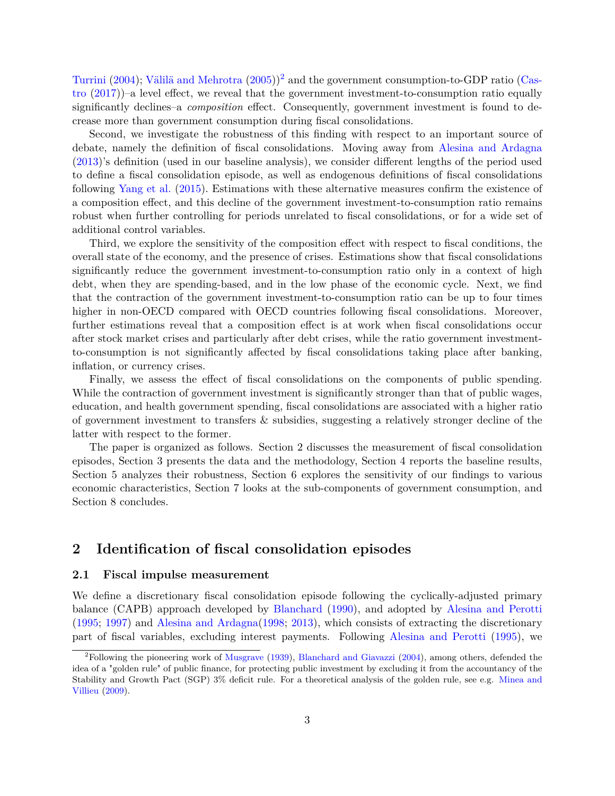[Turrini](#page-23-1) [\(2004\)](#page-23-1); [Välilä and Mehrotra](#page-23-2) [\(2005\)](#page-23-2))<sup>[2](#page-0-0)</sup> and the government consumption-to-GDP ratio [\(Cas](#page-21-7)[tro](#page-21-7) [\(2017\)](#page-21-7))–a level effect, we reveal that the government investment-to-consumption ratio equally significantly declines–a *composition* effect. Consequently, government investment is found to decrease more than government consumption during fiscal consolidations.

Second, we investigate the robustness of this finding with respect to an important source of debate, namely the definition of fiscal consolidations. Moving away from [Alesina and Ardagna](#page-20-5) [\(2013\)](#page-20-5)'s definition (used in our baseline analysis), we consider different lengths of the period used to define a fiscal consolidation episode, as well as endogenous definitions of fiscal consolidations following [Yang et al.](#page-23-3) [\(2015\)](#page-23-3). Estimations with these alternative measures confirm the existence of a composition effect, and this decline of the government investment-to-consumption ratio remains robust when further controlling for periods unrelated to fiscal consolidations, or for a wide set of additional control variables.

Third, we explore the sensitivity of the composition effect with respect to fiscal conditions, the overall state of the economy, and the presence of crises. Estimations show that fiscal consolidations significantly reduce the government investment-to-consumption ratio only in a context of high debt, when they are spending-based, and in the low phase of the economic cycle. Next, we find that the contraction of the government investment-to-consumption ratio can be up to four times higher in non-OECD compared with OECD countries following fiscal consolidations. Moreover, further estimations reveal that a composition effect is at work when fiscal consolidations occur after stock market crises and particularly after debt crises, while the ratio government investmentto-consumption is not significantly affected by fiscal consolidations taking place after banking, inflation, or currency crises.

Finally, we assess the effect of fiscal consolidations on the components of public spending. While the contraction of government investment is significantly stronger than that of public wages, education, and health government spending, fiscal consolidations are associated with a higher ratio of government investment to transfers & subsidies, suggesting a relatively stronger decline of the latter with respect to the former.

The paper is organized as follows. Section 2 discusses the measurement of fiscal consolidation episodes, Section 3 presents the data and the methodology, Section 4 reports the baseline results, Section 5 analyzes their robustness, Section 6 explores the sensitivity of our findings to various economic characteristics, Section 7 looks at the sub-components of government consumption, and Section 8 concludes.

## **2 Identification of fiscal consolidation episodes**

#### **2.1 Fiscal impulse measurement**

We define a discretionary fiscal consolidation episode following the cyclically-adjusted primary balance (CAPB) approach developed by [Blanchard](#page-21-10) [\(1990\)](#page-21-10), and adopted by [Alesina and Perotti](#page-20-4) [\(1995;](#page-20-4) [1997\)](#page-20-12) and [Alesina and Ardagna\(1998;](#page-20-1) [2013\)](#page-20-5), which consists of extracting the discretionary part of fiscal variables, excluding interest payments. Following [Alesina and Perotti](#page-20-4) [\(1995\)](#page-20-4), we

 ${}^{2}$ Following the pioneering work of [Musgrave](#page-22-7) [\(1939\)](#page-22-7), [Blanchard and Giavazzi](#page-21-11) [\(2004\)](#page-21-11), among others, defended the idea of a "golden rule" of public finance, for protecting public investment by excluding it from the accountancy of the Stability and Growth Pact (SGP) 3% deficit rule. For a theoretical analysis of the golden rule, see e.g. [Minea and](#page-22-8) [Villieu](#page-22-8) [\(2009\)](#page-22-8).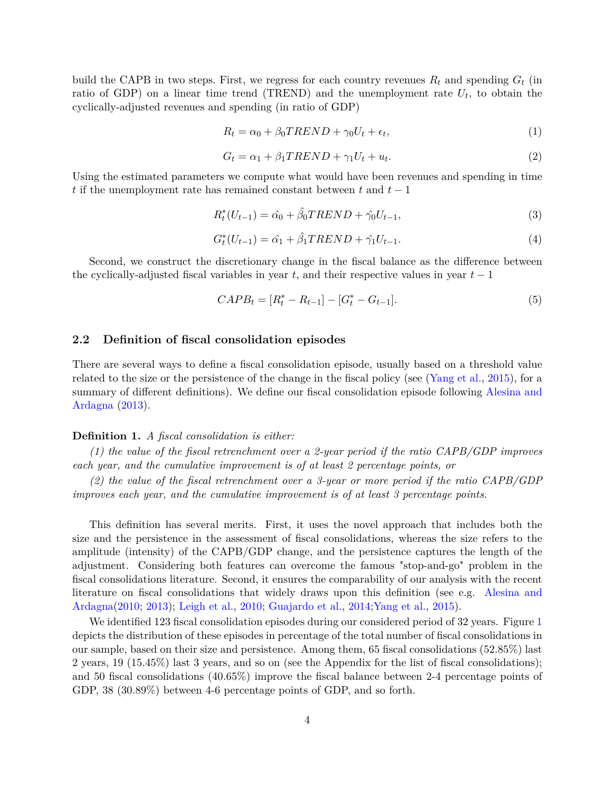build the CAPB in two steps. First, we regress for each country revenues  $R_t$  and spending  $G_t$  (in ratio of GDP) on a linear time trend (TREND) and the unemployment rate *U<sup>t</sup>* , to obtain the cyclically-adjusted revenues and spending (in ratio of GDP)

$$
R_t = \alpha_0 + \beta_0 TREND + \gamma_0 U_t + \epsilon_t, \tag{1}
$$

$$
G_t = \alpha_1 + \beta_1 TREND + \gamma_1 U_t + u_t.
$$
\n<sup>(2)</sup>

Using the estimated parameters we compute what would have been revenues and spending in time *t* if the unemployment rate has remained constant between *t* and *t* − 1

$$
R_t^*(U_{t-1}) = \hat{\alpha_0} + \hat{\beta_0} TREND + \hat{\gamma_0} U_{t-1},
$$
\n(3)

$$
G_t^*(U_{t-1}) = \hat{\alpha_1} + \hat{\beta_1} TREND + \hat{\gamma_1} U_{t-1}.
$$
\n(4)

Second, we construct the discretionary change in the fiscal balance as the difference between the cyclically-adjusted fiscal variables in year *t*, and their respective values in year *t* − 1

$$
CAPB_t = [R_t^* - R_{t-1}] - [G_t^* - G_{t-1}].
$$
\n
$$
(5)
$$

#### **2.2 Definition of fiscal consolidation episodes**

There are several ways to define a fiscal consolidation episode, usually based on a threshold value related to the size or the persistence of the change in the fiscal policy (see [\(Yang et al.,](#page-23-3) [2015\)](#page-23-3), for a summary of different definitions). We define our fiscal consolidation episode following [Alesina and](#page-20-5) [Ardagna](#page-20-5) [\(2013\)](#page-20-5).

#### **Definition 1.** *A fiscal consolidation is either:*

*(1) the value of the fiscal retrenchment over a 2-year period if the ratio CAPB/GDP improves each year, and the cumulative improvement is of at least 2 percentage points, or*

*(2) the value of the fiscal retrenchment over a 3-year or more period if the ratio CAPB/GDP improves each year, and the cumulative improvement is of at least 3 percentage points.*

This definition has several merits. First, it uses the novel approach that includes both the size and the persistence in the assessment of fiscal consolidations, whereas the size refers to the amplitude (intensity) of the CAPB/GDP change, and the persistence captures the length of the adjustment. Considering both features can overcome the famous "stop-and-go" problem in the fiscal consolidations literature. Second, it ensures the comparability of our analysis with the recent literature on fiscal consolidations that widely draws upon this definition (see e.g. [Alesina and](#page-20-2) [Ardagna\(2010;](#page-20-2) [2013\)](#page-20-5); [Leigh et al.,](#page-22-9) [2010;](#page-22-9) [Guajardo et al.,](#page-21-5) [2014;](#page-21-5)[Yang et al.,](#page-23-3) [2015\)](#page-23-3).

We identified [1](#page-4-0)23 fiscal consolidation episodes during our considered period of 32 years. Figure 1 depicts the distribution of these episodes in percentage of the total number of fiscal consolidations in our sample, based on their size and persistence. Among them, 65 fiscal consolidations (52.85%) last 2 years, 19 (15.45%) last 3 years, and so on (see the Appendix for the list of fiscal consolidations); and 50 fiscal consolidations (40.65%) improve the fiscal balance between 2-4 percentage points of GDP, 38 (30.89%) between 4-6 percentage points of GDP, and so forth.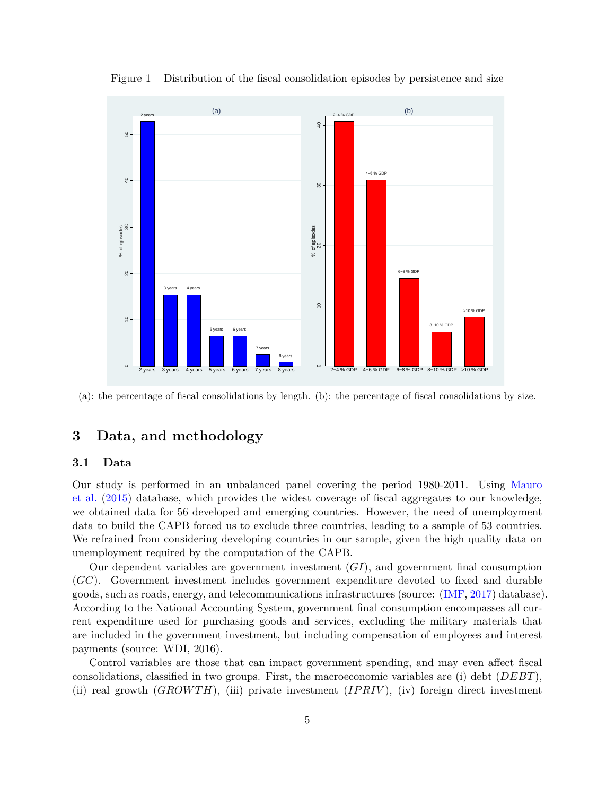<span id="page-4-0"></span>

Figure 1 – Distribution of the fiscal consolidation episodes by persistence and size

(a): the percentage of fiscal consolidations by length. (b): the percentage of fiscal consolidations by size.

## **3 Data, and methodology**

#### **3.1 Data**

Our study is performed in an unbalanced panel covering the period 1980-2011. Using [Mauro](#page-22-10) [et al.](#page-22-10) [\(2015\)](#page-22-10) database, which provides the widest coverage of fiscal aggregates to our knowledge, we obtained data for 56 developed and emerging countries. However, the need of unemployment data to build the CAPB forced us to exclude three countries, leading to a sample of 53 countries. We refrained from considering developing countries in our sample, given the high quality data on unemployment required by the computation of the CAPB.

Our dependent variables are government investment (*GI*), and government final consumption (*GC*). Government investment includes government expenditure devoted to fixed and durable goods, such as roads, energy, and telecommunications infrastructures (source: [\(IMF,](#page-22-11) [2017\)](#page-22-11) database). According to the National Accounting System, government final consumption encompasses all current expenditure used for purchasing goods and services, excluding the military materials that are included in the government investment, but including compensation of employees and interest payments (source: WDI, 2016).

Control variables are those that can impact government spending, and may even affect fiscal consolidations, classified in two groups. First, the macroeconomic variables are (i) debt (*DEBT*), (ii) real growth (*GROW T H*), (iii) private investment (*IP RIV* ), (iv) foreign direct investment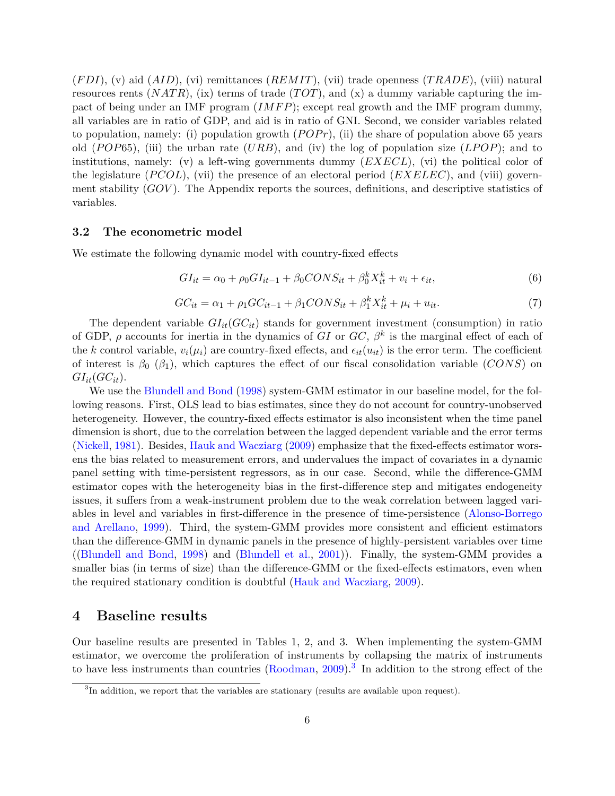(*F DI*), (v) aid (*AID*), (vi) remittances (*REMIT*), (vii) trade openness (*T RADE*), (viii) natural resources rents  $(NATR)$ , (ix) terms of trade  $(TOT)$ , and (x) a dummy variable capturing the impact of being under an IMF program (*IMF P*); except real growth and the IMF program dummy, all variables are in ratio of GDP, and aid is in ratio of GNI. Second, we consider variables related to population, namely: (i) population growth  $(POPr)$ , (ii) the share of population above 65 years old (*P OP*65), (iii) the urban rate (*URB*), and (iv) the log of population size (*LP OP*); and to institutions, namely: (v) a left-wing governments dummy (*EXECL*), (vi) the political color of the legislature (*P COL*), (vii) the presence of an electoral period (*EXELEC*), and (viii) government stability (*GOV* ). The Appendix reports the sources, definitions, and descriptive statistics of variables.

#### **3.2 The econometric model**

We estimate the following dynamic model with country-fixed effects

$$
GI_{it} = \alpha_0 + \rho_0 GI_{it-1} + \beta_0 CONS_{it} + \beta_0^k X_{it}^k + v_i + \epsilon_{it},\tag{6}
$$

$$
GC_{it} = \alpha_1 + \rho_1 GC_{it-1} + \beta_1 CONS_{it} + \beta_1^k X_{it}^k + \mu_i + u_{it}. \tag{7}
$$

The dependent variable  $GI_{it}(GC_{it})$  stands for government investment (consumption) in ratio of GDP,  $\rho$  accounts for inertia in the dynamics of *GI* or *GC*,  $\beta^k$  is the marginal effect of each of the *k* control variable,  $v_i(\mu_i)$  are country-fixed effects, and  $\epsilon_{it}(u_{it})$  is the error term. The coefficient of interest is *β*<sup>0</sup> (*β*1), which captures the effect of our fiscal consolidation variable (*CONS*) on  $GI_{it}(GC_{it})$ .

We use the [Blundell and Bond](#page-21-9) [\(1998\)](#page-21-9) system-GMM estimator in our baseline model, for the following reasons. First, OLS lead to bias estimates, since they do not account for country-unobserved heterogeneity. However, the country-fixed effects estimator is also inconsistent when the time panel dimension is short, due to the correlation between the lagged dependent variable and the error terms [\(Nickell,](#page-22-12) [1981\)](#page-22-12). Besides, [Hauk and Wacziarg](#page-21-12) [\(2009\)](#page-21-12) emphasize that the fixed-effects estimator worsens the bias related to measurement errors, and undervalues the impact of covariates in a dynamic panel setting with time-persistent regressors, as in our case. Second, while the difference-GMM estimator copes with the heterogeneity bias in the first-difference step and mitigates endogeneity issues, it suffers from a weak-instrument problem due to the weak correlation between lagged variables in level and variables in first-difference in the presence of time-persistence [\(Alonso-Borrego](#page-20-13) [and Arellano,](#page-20-13) [1999\)](#page-20-13). Third, the system-GMM provides more consistent and efficient estimators than the difference-GMM in dynamic panels in the presence of highly-persistent variables over time ([\(Blundell and Bond,](#page-21-9) [1998\)](#page-21-9) and [\(Blundell et al.,](#page-21-13) [2001\)](#page-21-13)). Finally, the system-GMM provides a smaller bias (in terms of size) than the difference-GMM or the fixed-effects estimators, even when the required stationary condition is doubtful [\(Hauk and Wacziarg,](#page-21-12) [2009\)](#page-21-12).

#### **4 Baseline results**

Our baseline results are presented in Tables 1, 2, and 3. When implementing the system-GMM estimator, we overcome the proliferation of instruments by collapsing the matrix of instruments to have less instruments than countries [\(Roodman,](#page-22-13) [2009\)](#page-22-13).<sup>[3](#page-0-0)</sup> In addition to the strong effect of the

<sup>&</sup>lt;sup>3</sup>In addition, we report that the variables are stationary (results are available upon request).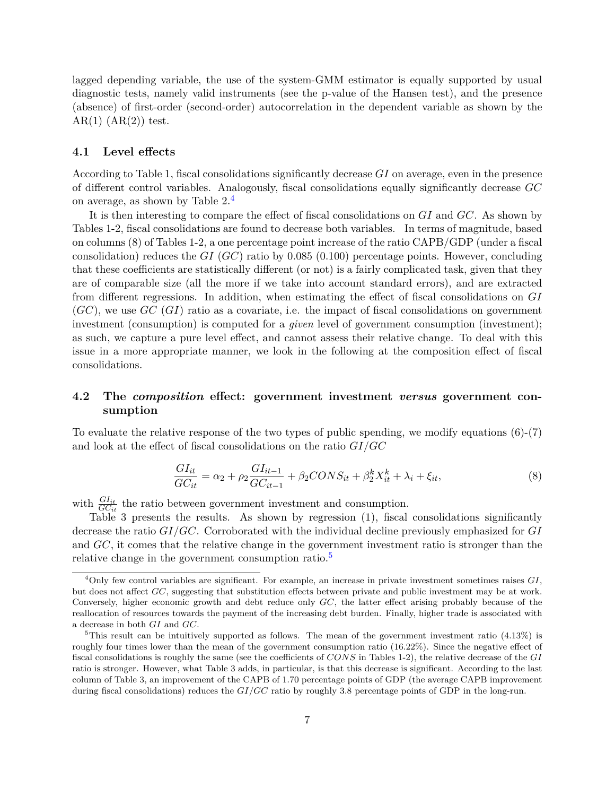lagged depending variable, the use of the system-GMM estimator is equally supported by usual diagnostic tests, namely valid instruments (see the p-value of the Hansen test), and the presence (absence) of first-order (second-order) autocorrelation in the dependent variable as shown by the  $AR(1)$   $(AR(2))$  test.

#### **4.1 Level effects**

According to Table 1, fiscal consolidations significantly decrease *GI* on average, even in the presence of different control variables. Analogously, fiscal consolidations equally significantly decrease *GC* on average, as shown by Table 2.[4](#page-0-0)

It is then interesting to compare the effect of fiscal consolidations on *GI* and *GC*. As shown by Tables 1-2, fiscal consolidations are found to decrease both variables. In terms of magnitude, based on columns (8) of Tables 1-2, a one percentage point increase of the ratio CAPB/GDP (under a fiscal consolidation) reduces the *GI* (*GC*) ratio by 0.085 (0.100) percentage points. However, concluding that these coefficients are statistically different (or not) is a fairly complicated task, given that they are of comparable size (all the more if we take into account standard errors), and are extracted from different regressions. In addition, when estimating the effect of fiscal consolidations on *GI* (*GC*), we use *GC* (*GI*) ratio as a covariate, i.e. the impact of fiscal consolidations on government investment (consumption) is computed for a *given* level of government consumption (investment); as such, we capture a pure level effect, and cannot assess their relative change. To deal with this issue in a more appropriate manner, we look in the following at the composition effect of fiscal consolidations.

#### **4.2 The** *composition* **effect: government investment** *versus* **government consumption**

To evaluate the relative response of the two types of public spending, we modify equations (6)-(7) and look at the effect of fiscal consolidations on the ratio *GI/GC*

$$
\frac{GI_{it}}{GC_{it}} = \alpha_2 + \rho_2 \frac{GI_{it-1}}{GC_{it-1}} + \beta_2 CONS_{it} + \beta_2^k X_{it}^k + \lambda_i + \xi_{it},\tag{8}
$$

with  $\frac{GI_{it}}{GC_{it}}$  the ratio between government investment and consumption.

Table 3 presents the results. As shown by regression (1), fiscal consolidations significantly decrease the ratio *GI/GC*. Corroborated with the individual decline previously emphasized for *GI* and *GC*, it comes that the relative change in the government investment ratio is stronger than the relative change in the government consumption ratio.<sup>[5](#page-0-0)</sup>

<sup>4</sup>Only few control variables are significant. For example, an increase in private investment sometimes raises *GI*, but does not affect *GC*, suggesting that substitution effects between private and public investment may be at work. Conversely, higher economic growth and debt reduce only *GC*, the latter effect arising probably because of the reallocation of resources towards the payment of the increasing debt burden. Finally, higher trade is associated with a decrease in both *GI* and *GC*.

 $5$ This result can be intuitively supported as follows. The mean of the government investment ratio  $(4.13\%)$  is roughly four times lower than the mean of the government consumption ratio (16.22%). Since the negative effect of fiscal consolidations is roughly the same (see the coefficients of *CONS* in Tables 1-2), the relative decrease of the *GI* ratio is stronger. However, what Table 3 adds, in particular, is that this decrease is significant. According to the last column of Table 3, an improvement of the CAPB of 1.70 percentage points of GDP (the average CAPB improvement during fiscal consolidations) reduces the  $GI/GC$  ratio by roughly 3.8 percentage points of GDP in the long-run.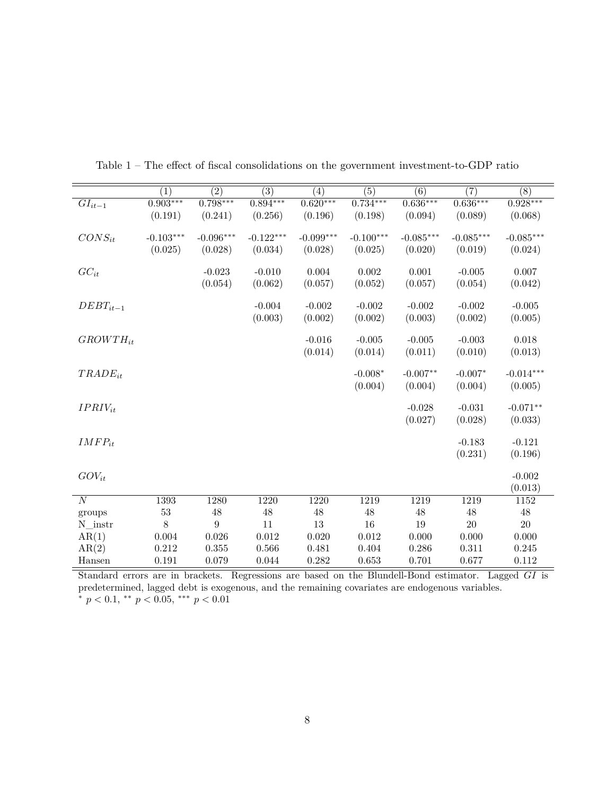|               | $\left(1\right)$ | $\left( 2\right)$ | $\overline{(3)}$ | (4)         | (5)         | (6)         | (7)         | (8)         |
|---------------|------------------|-------------------|------------------|-------------|-------------|-------------|-------------|-------------|
| $GI_{it-1}$   | $0.903***$       | $0.798***$        | $0.894***$       | $0.620***$  | $0.734***$  | $0.636***$  | $0.636***$  | $0.928***$  |
|               | (0.191)          | (0.241)           | (0.256)          | (0.196)     | (0.198)     | (0.094)     | (0.089)     | (0.068)     |
|               |                  |                   |                  |             |             |             |             |             |
| $CONS_{it}$   | $-0.103***$      | $-0.096***$       | $-0.122***$      | $-0.099***$ | $-0.100***$ | $-0.085***$ | $-0.085***$ | $-0.085***$ |
|               | (0.025)          | (0.028)           | (0.034)          | (0.028)     | (0.025)     | (0.020)     | (0.019)     | (0.024)     |
|               |                  | $-0.023$          | $-0.010$         | 0.004       | 0.002       | 0.001       | $-0.005$    | 0.007       |
| $GC_{it}$     |                  |                   |                  |             |             |             |             |             |
|               |                  | (0.054)           | (0.062)          | (0.057)     | (0.052)     | (0.057)     | (0.054)     | (0.042)     |
| $DEBT_{it-1}$ |                  |                   | $-0.004$         | $-0.002$    | $-0.002$    | $-0.002$    | $-0.002$    | $-0.005$    |
|               |                  |                   | (0.003)          | (0.002)     | (0.002)     | (0.003)     | (0.002)     | (0.005)     |
|               |                  |                   |                  |             |             |             |             |             |
| $GROWTH_{it}$ |                  |                   |                  | $-0.016$    | $-0.005$    | $-0.005$    | $-0.003$    | $0.018\,$   |
|               |                  |                   |                  | (0.014)     | (0.014)     | (0.011)     | (0.010)     | (0.013)     |
|               |                  |                   |                  |             |             |             |             |             |
| $TRADE_{it}$  |                  |                   |                  |             | $-0.008*$   | $-0.007**$  | $-0.007*$   | $-0.014***$ |
|               |                  |                   |                  |             | (0.004)     | (0.004)     | (0.004)     | (0.005)     |
|               |                  |                   |                  |             |             |             |             | $-0.071**$  |
| $IPRIV_{it}$  |                  |                   |                  |             |             | $-0.028$    | $-0.031$    |             |
|               |                  |                   |                  |             |             | (0.027)     | (0.028)     | (0.033)     |
| $IMFP_{it}$   |                  |                   |                  |             |             |             | $-0.183$    | $-0.121$    |
|               |                  |                   |                  |             |             |             | (0.231)     | (0.196)     |
|               |                  |                   |                  |             |             |             |             |             |
| $GOV_{it}$    |                  |                   |                  |             |             |             |             | $-0.002$    |
|               |                  |                   |                  |             |             |             |             | (0.013)     |
| N             | 1393             | 1280              | 1220             | 1220        | 1219        | 1219        | 1219        | 1152        |
| groups        | $53\,$           | 48                | $48\,$           | $48\,$      | 48          | 48          | 48          | 48          |
| $N$ _instr    | $8\,$            | $\boldsymbol{9}$  | 11               | 13          | $16\,$      | 19          | 20          | $20\,$      |
| AR(1)         | 0.004            | 0.026             | 0.012            | 0.020       | 0.012       | 0.000       | 0.000       | $0.000\,$   |
| AR(2)         | $0.212\,$        | 0.355             | 0.566            | 0.481       | 0.404       | 0.286       | 0.311       | $0.245\,$   |
| Hansen        | 0.191            | 0.079             | 0.044            | 0.282       | 0.653       | 0.701       | 0.677       | 0.112       |

Table 1 – The effect of fiscal consolidations on the government investment-to-GDP ratio

Standard errors are in brackets. Regressions are based on the Blundell-Bond estimator. Lagged *GI* is predetermined, lagged debt is exogenous, and the remaining covariates are endogenous variables. <sup>∗</sup> *p <* 0*.*1, ∗∗ *p <* 0*.*05, ∗∗∗ *p <* 0*.*01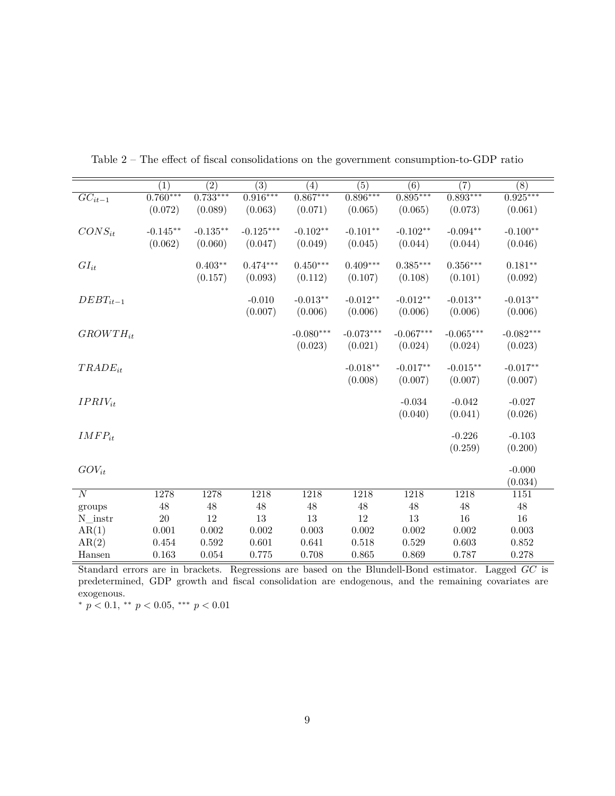|                        | (1)        | (2)        | (3)                   | (4)         | (5)         | (6)         | (7)         | (8)         |
|------------------------|------------|------------|-----------------------|-------------|-------------|-------------|-------------|-------------|
| $\overline{GC_{it-1}}$ | $0.760***$ | $0.733***$ | $0.\overline{916***}$ | $0.867***$  | $0.896***$  | $0.895***$  | $0.893***$  | $0.925***$  |
|                        | (0.072)    | (0.089)    | (0.063)               | (0.071)     | (0.065)     | (0.065)     | (0.073)     | (0.061)     |
|                        |            |            |                       |             |             |             |             |             |
| $CONS_{it}$            | $-0.145**$ | $-0.135**$ | $-0.125***$           | $-0.102**$  | $-0.101**$  | $-0.102**$  | $-0.094**$  | $-0.100**$  |
|                        | (0.062)    | (0.060)    | (0.047)               | (0.049)     | (0.045)     | (0.044)     | (0.044)     | (0.046)     |
|                        |            | $0.403**$  | $0.474***$            | $0.450***$  | $0.409***$  | $0.385***$  | $0.356***$  | $0.181**$   |
| $GI_{it}$              |            |            |                       |             |             |             |             |             |
|                        |            | (0.157)    | (0.093)               | (0.112)     | (0.107)     | (0.108)     | (0.101)     | (0.092)     |
| $DEBT_{it-1}$          |            |            | $-0.010$              | $-0.013**$  | $-0.012**$  | $-0.012**$  | $-0.013**$  | $-0.013**$  |
|                        |            |            | (0.007)               | (0.006)     | (0.006)     | (0.006)     | (0.006)     | (0.006)     |
|                        |            |            |                       |             |             |             |             |             |
| $GROWTH_{it}$          |            |            |                       | $-0.080***$ | $-0.073***$ | $-0.067***$ | $-0.065***$ | $-0.082***$ |
|                        |            |            |                       | (0.023)     | (0.021)     | (0.024)     | (0.024)     | (0.023)     |
|                        |            |            |                       |             | $-0.018**$  | $-0.017**$  | $-0.015**$  | $-0.017**$  |
| $TRADE_{it}$           |            |            |                       |             |             |             |             |             |
|                        |            |            |                       |             | (0.008)     | (0.007)     | (0.007)     | (0.007)     |
| $IPRIV_{it}$           |            |            |                       |             |             | $-0.034$    | $-0.042$    | $-0.027$    |
|                        |            |            |                       |             |             | (0.040)     | (0.041)     | (0.026)     |
|                        |            |            |                       |             |             |             |             |             |
| $IMFP_{it}$            |            |            |                       |             |             |             | $-0.226$    | $-0.103$    |
|                        |            |            |                       |             |             |             | (0.259)     | (0.200)     |
|                        |            |            |                       |             |             |             |             |             |
| $GOV_{it}$             |            |            |                       |             |             |             |             | $-0.000$    |
|                        |            |            |                       |             |             |             |             | (0.034)     |
| $\overline{N}$         | 1278       | 1278       | 1218                  | 1218        | 1218        | 1218        | 1218        | 1151        |
| groups                 | 48         | $48\,$     | $48\,$                | $48\,$      | 48          | $48\,$      | 48          | 48          |
| N instr                | $20\,$     | 12         | 13                    | 13          | 12          | 13          | 16          | $16\,$      |
| AR(1)                  | 0.001      | 0.002      | 0.002                 | 0.003       | 0.002       | $0.002\,$   | 0.002       | 0.003       |
| AR(2)                  | 0.454      | 0.592      | 0.601                 | 0.641       | 0.518       | 0.529       | 0.603       | 0.852       |
| Hansen                 | 0.163      | 0.054      | 0.775                 | 0.708       | 0.865       | 0.869       | 0.787       | 0.278       |

Table  $2$  – The effect of fiscal consolidations on the government consumption-to-GDP ratio  $\,$ 

Standard errors are in brackets. Regressions are based on the Blundell-Bond estimator. Lagged *GC* is predetermined, GDP growth and fiscal consolidation are endogenous, and the remaining covariates are exogenous.

<sup>∗</sup> *p <* 0*.*1, ∗∗ *p <* 0*.*05, ∗∗∗ *p <* 0*.*01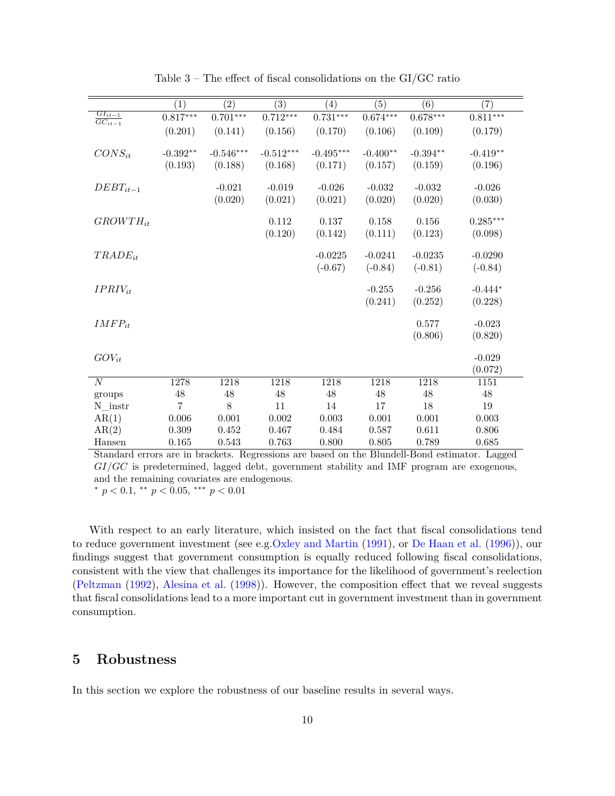|                        | $\left(1\right)$ | $\overline{(2)}$ | $\overline{(3)}$ | (4)         | $\overline{(5)}$ | $\overline{(6)}$ | (7)                    |
|------------------------|------------------|------------------|------------------|-------------|------------------|------------------|------------------------|
| $GI_{it-1}$            | $0.817***$       | $0.701***$       | $0.712***$       | $0.731***$  | $0.674***$       | $0.678***$       | $0.811^{\ast\ast\ast}$ |
| $\overline{GC_{it-1}}$ | (0.201)          | (0.141)          | (0.156)          | (0.170)     | (0.106)          | (0.109)          | (0.179)                |
|                        |                  |                  |                  |             |                  |                  |                        |
| $CONS_{it}$            | $-0.392**$       | $-0.546***$      | $-0.512***$      | $-0.495***$ | $-0.400**$       | $-0.394**$       | $-0.419**$             |
|                        | (0.193)          | (0.188)          | (0.168)          | (0.171)     | (0.157)          | (0.159)          | (0.196)                |
|                        |                  |                  |                  |             |                  |                  |                        |
| $DEBT_{it-1}$          |                  | $-0.021$         | $-0.019$         | $-0.026$    | $-0.032$         | $-0.032$         | $-0.026$               |
|                        |                  | (0.020)          | (0.021)          | (0.021)     | (0.020)          | (0.020)          | (0.030)                |
|                        |                  |                  |                  |             |                  |                  |                        |
| $GROWTH_{it}$          |                  |                  | 0.112            | 0.137       | 0.158            | 0.156            | $0.285***$             |
|                        |                  |                  | (0.120)          | (0.142)     | (0.111)          | (0.123)          | (0.098)                |
| $TRADE_{it}$           |                  |                  |                  | $-0.0225$   | $-0.0241$        | $-0.0235$        | $-0.0290$              |
|                        |                  |                  |                  | $(-0.67)$   | $(-0.84)$        | $(-0.81)$        | $(-0.84)$              |
|                        |                  |                  |                  |             |                  |                  |                        |
| $IPRIV_{it}$           |                  |                  |                  |             | $-0.255$         | $-0.256$         | $-0.444*$              |
|                        |                  |                  |                  |             | (0.241)          | (0.252)          | (0.228)                |
| $IMFP_{it}$            |                  |                  |                  |             |                  | 0.577            | $-0.023$               |
|                        |                  |                  |                  |             |                  |                  |                        |
|                        |                  |                  |                  |             |                  | (0.806)          | (0.820)                |
| $GOV_{it}$             |                  |                  |                  |             |                  |                  | $-0.029$               |
|                        |                  |                  |                  |             |                  |                  | (0.072)                |
| N                      | 1278             | 1218             | 1218             | 1218        | 1218             | 1218             | 1151                   |
| groups                 | $48\,$           | $48\,$           | 48               | 48          | 48               | 48               | 48                     |
| N instr                | $\overline{7}$   | 8                | 11               | 14          | 17               | 18               | 19                     |
| AR(1)                  | 0.006            | 0.001            | 0.002            | 0.003       | 0.001            | 0.001            | 0.003                  |
| AR(2)                  | 0.309            | 0.452            | 0.467            | 0.484       | 0.587            | 0.611            | 0.806                  |
| Hansen                 | 0.165            | $\,0.543\,$      | 0.763            | 0.800       | 0.805            | 0.789            | 0.685                  |

Table 3 – The effect of fiscal consolidations on the GI/GC ratio

Standard errors are in brackets. Regressions are based on the Blundell-Bond estimator. Lagged *GI/GC* is predetermined, lagged debt, government stability and IMF program are exogenous, and the remaining covariates are endogenous.

<sup>∗</sup> *p <* 0*.*1, ∗∗ *p <* 0*.*05, ∗∗∗ *p <* 0*.*01

With respect to an early literature, which insisted on the fact that fiscal consolidations tend to reduce government investment (see e.g[.Oxley and Martin](#page-22-6) [\(1991\)](#page-22-6), or [De Haan et al.](#page-21-8) [\(1996\)](#page-21-8)), our findings suggest that government consumption is equally reduced following fiscal consolidations, consistent with the view that challenges its importance for the likelihood of government's reelection [\(Peltzman](#page-22-14) [\(1992\)](#page-22-14), [Alesina et al.](#page-20-14) [\(1998\)](#page-20-14)). However, the composition effect that we reveal suggests that fiscal consolidations lead to a more important cut in government investment than in government consumption.

## **5 Robustness**

In this section we explore the robustness of our baseline results in several ways.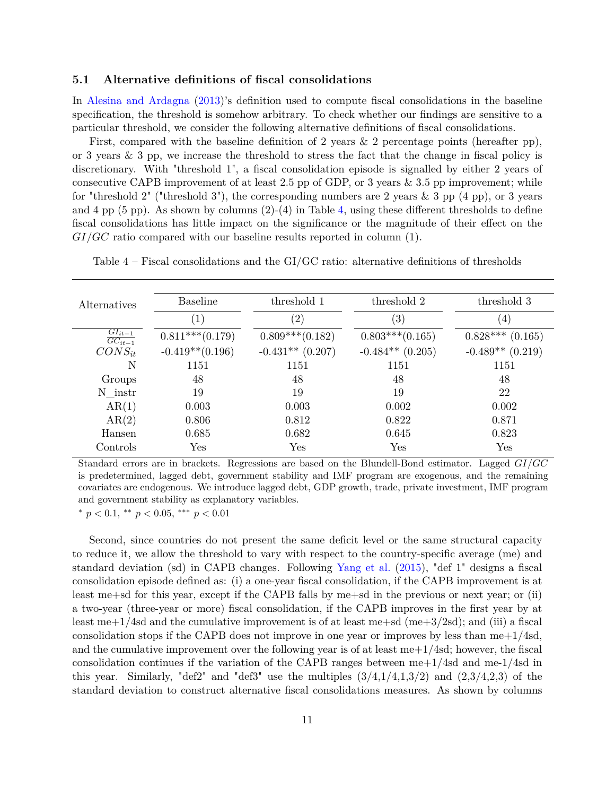#### **5.1 Alternative definitions of fiscal consolidations**

In [Alesina and Ardagna](#page-20-5) [\(2013\)](#page-20-5)'s definition used to compute fiscal consolidations in the baseline specification, the threshold is somehow arbitrary. To check whether our findings are sensitive to a particular threshold, we consider the following alternative definitions of fiscal consolidations.

First, compared with the baseline definition of 2 years & 2 percentage points (hereafter pp), or 3 years  $\&$  3 pp, we increase the threshold to stress the fact that the change in fiscal policy is discretionary. With "threshold 1", a fiscal consolidation episode is signalled by either 2 years of consecutive CAPB improvement of at least 2.5 pp of GDP, or 3 years  $\&$  3.5 pp improvement; while for "threshold 2" ("threshold 3"), the corresponding numbers are 2 years  $\&$  3 pp (4 pp), or 3 years and 4 pp  $(5 \text{ pp})$ . As shown by columns  $(2)-(4)$  in Table [4,](#page-10-0) using these different thresholds to define fiscal consolidations has little impact on the significance or the magnitude of their effect on the *GI/GC* ratio compared with our baseline results reported in column (1).

| <i>Alternatives</i>                   | <b>Baseline</b>    | threshold 1        | threshold 2        | threshold 3           |  |
|---------------------------------------|--------------------|--------------------|--------------------|-----------------------|--|
|                                       | $\left( 1\right)$  | $^{\prime}2)$      | $\left( 3\right)$  | $\left(4\right)$      |  |
| $GI_{it-1}$<br>$\overline{GC_{it-1}}$ | $0.811***(0.179)$  | $0.809***(0.182)$  | $0.803***(0.165)$  | $0.828***$<br>(0.165) |  |
| $CONS_{it}$                           | $-0.419**$ (0.196) | $-0.431**$ (0.207) | $-0.484**$ (0.205) | $-0.489**$ (0.219)    |  |
| N                                     | 1151               | 1151               | 1151               | 1151                  |  |
| Groups                                | 48                 | 48                 | 48                 | 48                    |  |
| N instr                               | 19                 | 19                 | 19                 | 22                    |  |
| AR(1)                                 | 0.003              | 0.003              | 0.002              | 0.002                 |  |
| AR(2)                                 | 0.806              | 0.812              | 0.822              | 0.871                 |  |
| Hansen                                | 0.685              | 0.682              | 0.645              | 0.823                 |  |
| Controls                              | Yes                | ${\rm Yes}$        | Yes                | Yes                   |  |

<span id="page-10-0"></span>Table 4 – Fiscal consolidations and the GI/GC ratio: alternative definitions of thresholds

Standard errors are in brackets. Regressions are based on the Blundell-Bond estimator. Lagged *GI/GC* is predetermined, lagged debt, government stability and IMF program are exogenous, and the remaining covariates are endogenous. We introduce lagged debt, GDP growth, trade, private investment, IMF program and government stability as explanatory variables.

<sup>∗</sup> *p <* 0*.*1, ∗∗ *p <* 0*.*05, ∗∗∗ *p <* 0*.*01

Second, since countries do not present the same deficit level or the same structural capacity to reduce it, we allow the threshold to vary with respect to the country-specific average (me) and standard deviation (sd) in CAPB changes. Following [Yang et al.](#page-23-3) [\(2015\)](#page-23-3), "def 1" designs a fiscal consolidation episode defined as: (i) a one-year fiscal consolidation, if the CAPB improvement is at least me+sd for this year, except if the CAPB falls by me+sd in the previous or next year; or (ii) a two-year (three-year or more) fiscal consolidation, if the CAPB improves in the first year by at least me+1/4sd and the cumulative improvement is of at least me+sd (me+3/2sd); and (iii) a fiscal consolidation stops if the CAPB does not improve in one year or improves by less than  $me+1/4sd$ , and the cumulative improvement over the following year is of at least  $me+1/4sd$ ; however, the fiscal consolidation continues if the variation of the CAPB ranges between  $me+1/4sd$  and  $me-1/4sd$  in this year. Similarly, "def2" and "def3" use the multiples  $(3/4,1/4,1,3/2)$  and  $(2,3/4,2,3)$  of the standard deviation to construct alternative fiscal consolidations measures. As shown by columns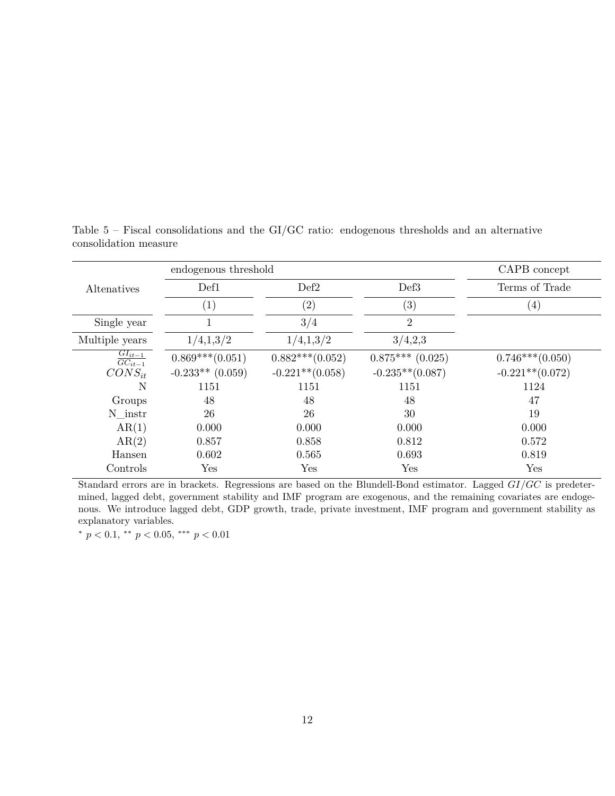|                               | endogenous threshold |                    |                    | CAPB concept       |  |
|-------------------------------|----------------------|--------------------|--------------------|--------------------|--|
| Altenatives                   | Def1                 | Def2               | Def3               | Terms of Trade     |  |
|                               | $\left( 1\right)$    | $\left( 2\right)$  | (3)                | $\left( 4\right)$  |  |
| Single year                   | $\mathbf{I}$         | 3/4                | $\overline{2}$     |                    |  |
| Multiple years                | 1/4, 1, 3/2          | 1/4, 1, 3/2        | 3/4,2,3            |                    |  |
| $\frac{GI_{it-1}}{GC_{it-1}}$ | $0.869***(0.051)$    | $0.882***(0.052)$  | $0.875***$ (0.025) | $0.746***(0.050)$  |  |
| $CONS_{it}$                   | $-0.233**$ (0.059)   | $-0.221**$ (0.058) | $-0.235**$ (0.087) | $-0.221**$ (0.072) |  |
| N                             | 1151                 | 1151               | 1151               | 1124               |  |
| Groups                        | 48                   | 48                 | 48                 | 47                 |  |
| N instr                       | 26                   | 26                 | 30                 | 19                 |  |
| AR(1)                         | 0.000                | 0.000              | 0.000              | 0.000              |  |
| AR(2)                         | 0.857                | 0.858              | 0.812              | 0.572              |  |
| Hansen                        | 0.602                | 0.565              | 0.693              | 0.819              |  |
| Controls                      | Yes                  | Yes                | Yes                | Yes                |  |

<span id="page-11-0"></span>Table 5 – Fiscal consolidations and the GI/GC ratio: endogenous thresholds and an alternative consolidation measure

Standard errors are in brackets. Regressions are based on the Blundell-Bond estimator. Lagged *GI/GC* is predetermined, lagged debt, government stability and IMF program are exogenous, and the remaining covariates are endogenous. We introduce lagged debt, GDP growth, trade, private investment, IMF program and government stability as explanatory variables.

<sup>∗</sup> *p <* 0*.*1, ∗∗ *p <* 0*.*05, ∗∗∗ *p <* 0*.*01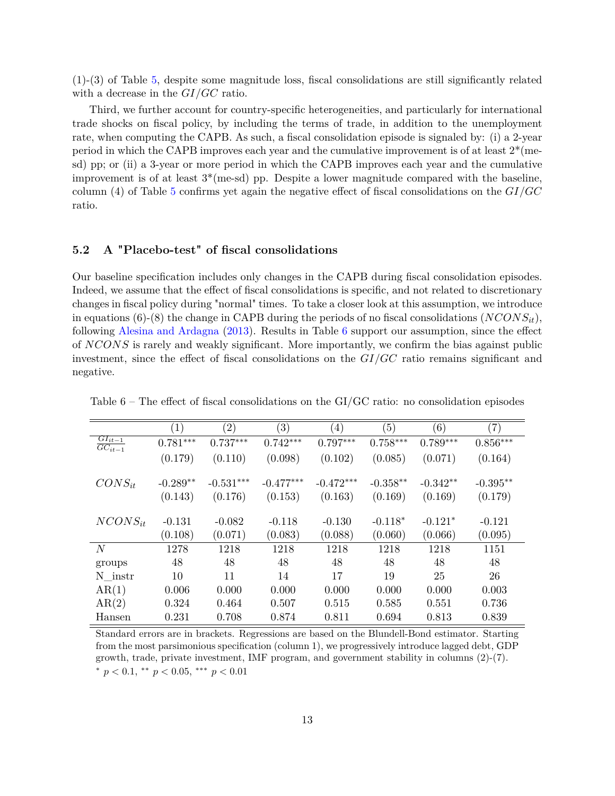(1)-(3) of Table [5,](#page-11-0) despite some magnitude loss, fiscal consolidations are still significantly related with a decrease in the *GI/GC* ratio.

Third, we further account for country-specific heterogeneities, and particularly for international trade shocks on fiscal policy, by including the terms of trade, in addition to the unemployment rate, when computing the CAPB. As such, a fiscal consolidation episode is signaled by: (i) a 2-year period in which the CAPB improves each year and the cumulative improvement is of at least  $2^*$  (mesd) pp; or (ii) a 3-year or more period in which the CAPB improves each year and the cumulative improvement is of at least 3\*(me-sd) pp. Despite a lower magnitude compared with the baseline, column (4) of Table [5](#page-11-0) confirms yet again the negative effect of fiscal consolidations on the *GI/GC* ratio.

#### **5.2 A "Placebo-test" of fiscal consolidations**

Our baseline specification includes only changes in the CAPB during fiscal consolidation episodes. Indeed, we assume that the effect of fiscal consolidations is specific, and not related to discretionary changes in fiscal policy during "normal" times. To take a closer look at this assumption, we introduce in equations  $(6)-(8)$  the change in CAPB during the periods of no fiscal consolidations  $(NCONS<sub>it</sub>)$ , following [Alesina and Ardagna](#page-20-5) [\(2013\)](#page-20-5). Results in Table [6](#page-12-0) support our assumption, since the effect of *NCONS* is rarely and weakly significant. More importantly, we confirm the bias against public investment, since the effect of fiscal consolidations on the *GI/GC* ratio remains significant and negative.

|                                       | (1)        | $\left( 2\right)$ | (3)         | $\left( 4\right)$ | (5)        | (6)        | $\left( 7\right)$ |
|---------------------------------------|------------|-------------------|-------------|-------------------|------------|------------|-------------------|
| $GI_{it-1}$<br>$\overline{GC_{it-1}}$ | $0.781***$ | $0.737***$        | $0.742***$  | $0.797***$        | $0.758***$ | $0.789***$ | $0.856***$        |
|                                       | (0.179)    | (0.110)           | (0.098)     | (0.102)           | (0.085)    | (0.071)    | (0.164)           |
| $CONS_{it}$                           | $-0.289**$ | $-0.531***$       | $-0.477***$ | $-0.472***$       | $-0.358**$ | $-0.342**$ | $-0.395**$        |
|                                       | (0.143)    | (0.176)           | (0.153)     | (0.163)           | (0.169)    | (0.169)    | (0.179)           |
| $NCONS_{it}$                          | $-0.131$   | $-0.082$          | $-0.118$    | $-0.130$          | $-0.118*$  | $-0.121*$  | $-0.121$          |
|                                       | (0.108)    | (0.071)           | (0.083)     | (0.088)           | (0.060)    | (0.066)    | (0.095)           |
| N                                     | 1278       | 1218              | 1218        | 1218              | 1218       | 1218       | 1151              |
| groups                                | 48         | 48                | 48          | 48                | 48         | 48         | 48                |
| N instr                               | 10         | 11                | 14          | 17                | 19         | 25         | 26                |
| AR(1)                                 | 0.006      | 0.000             | 0.000       | 0.000             | 0.000      | 0.000      | 0.003             |
| AR(2)                                 | 0.324      | 0.464             | 0.507       | 0.515             | 0.585      | 0.551      | 0.736             |
| Hansen                                | 0.231      | 0.708             | 0.874       | 0.811             | 0.694      | 0.813      | 0.839             |

<span id="page-12-0"></span>Table 6 – The effect of fiscal consolidations on the GI/GC ratio: no consolidation episodes

Standard errors are in brackets. Regressions are based on the Blundell-Bond estimator. Starting from the most parsimonious specification (column 1), we progressively introduce lagged debt, GDP growth, trade, private investment, IMF program, and government stability in columns (2)-(7). <sup>∗</sup> *p <* 0*.*1, ∗∗ *p <* 0*.*05, ∗∗∗ *p <* 0*.*01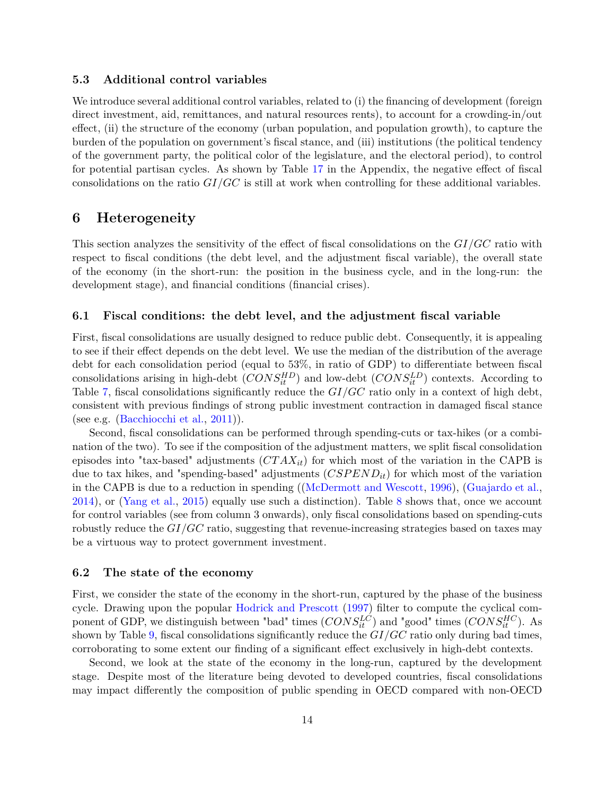#### **5.3 Additional control variables**

We introduce several additional control variables, related to (i) the financing of development (foreign direct investment, aid, remittances, and natural resources rents), to account for a crowding-in/out effect, (ii) the structure of the economy (urban population, and population growth), to capture the burden of the population on government's fiscal stance, and (iii) institutions (the political tendency of the government party, the political color of the legislature, and the electoral period), to control for potential partisan cycles. As shown by Table [17](#page-27-0) in the Appendix, the negative effect of fiscal consolidations on the ratio *GI/GC* is still at work when controlling for these additional variables.

#### **6 Heterogeneity**

This section analyzes the sensitivity of the effect of fiscal consolidations on the *GI/GC* ratio with respect to fiscal conditions (the debt level, and the adjustment fiscal variable), the overall state of the economy (in the short-run: the position in the business cycle, and in the long-run: the development stage), and financial conditions (financial crises).

#### **6.1 Fiscal conditions: the debt level, and the adjustment fiscal variable**

First, fiscal consolidations are usually designed to reduce public debt. Consequently, it is appealing to see if their effect depends on the debt level. We use the median of the distribution of the average debt for each consolidation period (equal to 53%, in ratio of GDP) to differentiate between fiscal consolidations arising in high-debt  $(CONS_{it}^{HD})$  and low-debt  $(CONS_{it}^{LD})$  contexts. According to Table [7,](#page-14-0) fiscal consolidations significantly reduce the *GI/GC* ratio only in a context of high debt, consistent with previous findings of strong public investment contraction in damaged fiscal stance (see e.g. [\(Bacchiocchi et al.,](#page-20-15) [2011\)](#page-20-15)).

Second, fiscal consolidations can be performed through spending-cuts or tax-hikes (or a combination of the two). To see if the composition of the adjustment matters, we split fiscal consolidation episodes into "tax-based" adjustments  $(CTAX_{it})$  for which most of the variation in the CAPB is due to tax hikes, and "spending-based" adjustments (*CSP ENDit*) for which most of the variation in the CAPB is due to a reduction in spending ([\(McDermott and Wescott,](#page-22-0) [1996\)](#page-22-0), [\(Guajardo et al.,](#page-21-5) [2014\)](#page-21-5), or [\(Yang et al.,](#page-23-3) [2015\)](#page-23-3) equally use such a distinction). Table [8](#page-14-1) shows that, once we account for control variables (see from column 3 onwards), only fiscal consolidations based on spending-cuts robustly reduce the *GI/GC* ratio, suggesting that revenue-increasing strategies based on taxes may be a virtuous way to protect government investment.

#### **6.2 The state of the economy**

First, we consider the state of the economy in the short-run, captured by the phase of the business cycle. Drawing upon the popular [Hodrick and Prescott](#page-22-15) [\(1997\)](#page-22-15) filter to compute the cyclical component of GDP, we distinguish between "bad" times  $(CONS_{it}^{LC})$  and "good" times  $(CONS_{it}^{HC})$ . As shown by Table [9,](#page-15-0) fiscal consolidations significantly reduce the *GI/GC* ratio only during bad times, corroborating to some extent our finding of a significant effect exclusively in high-debt contexts.

Second, we look at the state of the economy in the long-run, captured by the development stage. Despite most of the literature being devoted to developed countries, fiscal consolidations may impact differently the composition of public spending in OECD compared with non-OECD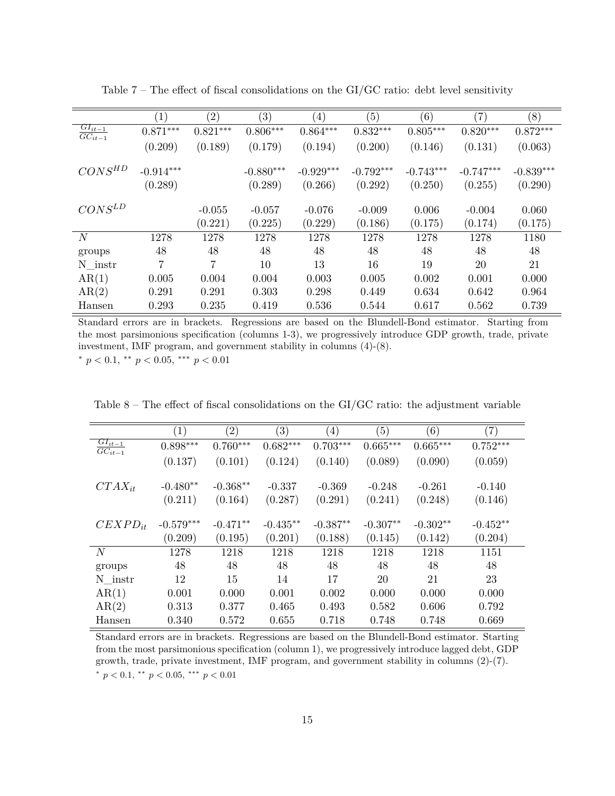<span id="page-14-0"></span>

|                                       | $\left(1\right)$ | $\left( 2\right)$ | $\left( 3\right)$ | $\left( 4\right)$ | (5)         | (6)         | (7)         | (8)         |
|---------------------------------------|------------------|-------------------|-------------------|-------------------|-------------|-------------|-------------|-------------|
| $GI_{it-1}$<br>$\overline{GC_{it-1}}$ | $0.871***$       | $0.821***$        | $0.806***$        | $0.864***$        | $0.832***$  | $0.805***$  | $0.820***$  | $0.872***$  |
|                                       | (0.209)          | (0.189)           | (0.179)           | (0.194)           | (0.200)     | (0.146)     | (0.131)     | (0.063)     |
| $CONS^{HD}$                           | $-0.914***$      |                   | $-0.880***$       | $-0.929***$       | $-0.792***$ | $-0.743***$ | $-0.747***$ | $-0.839***$ |
|                                       | (0.289)          |                   | (0.289)           | (0.266)           | (0.292)     | (0.250)     | (0.255)     | (0.290)     |
| $CONS^{LD}$                           |                  | $-0.055$          | $-0.057$          | $-0.076$          | $-0.009$    | 0.006       | $-0.004$    | 0.060       |
|                                       |                  | (0.221)           | (0.225)           | (0.229)           | (0.186)     | (0.175)     | (0.174)     | (0.175)     |
| N                                     | 1278             | 1278              | 1278              | 1278              | 1278        | 1278        | 1278        | 1180        |
| groups                                | 48               | 48                | 48                | 48                | 48          | 48          | 48          | 48          |
| N instr                               | 7                | 7                 | 10                | 13                | 16          | 19          | 20          | 21          |
| AR(1)                                 | 0.005            | 0.004             | 0.004             | 0.003             | 0.005       | 0.002       | 0.001       | 0.000       |
| AR(2)                                 | 0.291            | 0.291             | 0.303             | 0.298             | 0.449       | 0.634       | 0.642       | 0.964       |
| Hansen                                | 0.293            | 0.235             | 0.419             | 0.536             | 0.544       | 0.617       | 0.562       | 0.739       |

Table  $7$  – The effect of fiscal consolidations on the GI/GC ratio: debt level sensitivity

Standard errors are in brackets. Regressions are based on the Blundell-Bond estimator. Starting from the most parsimonious specification (columns 1-3), we progressively introduce GDP growth, trade, private investment, IMF program, and government stability in columns (4)-(8).

<sup>∗</sup> *p <* 0*.*1, ∗∗ *p <* 0*.*05, ∗∗∗ *p <* 0*.*01

<span id="page-14-1"></span>Table 8 – The effect of fiscal consolidations on the GI/GC ratio: the adjustment variable

|                                       | $\left( 1\right)$ | $\left( 2\right)$ | $\left( 3\right)$ | $\left( 4\right)$ | (5)        | (6)        | (7)        |
|---------------------------------------|-------------------|-------------------|-------------------|-------------------|------------|------------|------------|
| $GI_{it-1}$<br>$\overline{GC_{it-1}}$ | $0.898***$        | $0.760***$        | $0.682***$        | $0.703***$        | $0.665***$ | $0.665***$ | $0.752***$ |
|                                       | (0.137)           | (0.101)           | (0.124)           | (0.140)           | (0.089)    | (0.090)    | (0.059)    |
| $CTAX_{it}$                           | $-0.480**$        | $-0.368**$        | $-0.337$          | $-0.369$          | $-0.248$   | $-0.261$   | $-0.140$   |
|                                       | (0.211)           | (0.164)           | (0.287)           | (0.291)           | (0.241)    | (0.248)    | (0.146)    |
| $CEXPD_{it}$                          | $-0.579***$       | $-0.471**$        | $-0.435**$        | $-0.387**$        | $-0.307**$ | $-0.302**$ | $-0.452**$ |
|                                       | (0.209)           | (0.195)           | (0.201)           | (0.188)           | (0.145)    | (0.142)    | (0.204)    |
| $\boldsymbol{N}$                      | 1278              | 1218              | 1218              | 1218              | 1218       | 1218       | 1151       |
| groups                                | 48                | 48                | 48                | 48                | 48         | 48         | 48         |
| N instr                               | 12                | 15                | 14                | 17                | 20         | 21         | 23         |
| AR(1)                                 | 0.001             | 0.000             | 0.001             | 0.002             | 0.000      | 0.000      | 0.000      |
| AR(2)                                 | 0.313             | 0.377             | 0.465             | 0.493             | 0.582      | 0.606      | 0.792      |
| Hansen                                | 0.340             | 0.572             | 0.655             | 0.718             | 0.748      | 0.748      | 0.669      |

Standard errors are in brackets. Regressions are based on the Blundell-Bond estimator. Starting from the most parsimonious specification (column 1), we progressively introduce lagged debt, GDP growth, trade, private investment, IMF program, and government stability in columns (2)-(7).  $p < 0.1, \cdot^* p < 0.05, \cdot^* p < 0.01$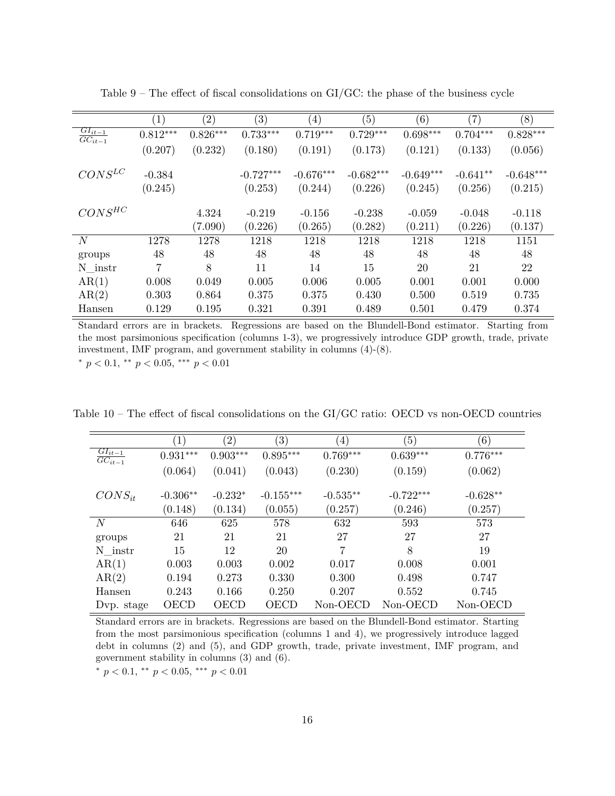|                               | (1)        | (2)        | $\left( 3\right)$ | $\left( 4\right)$ | (5)         | (6)         | (7)        | (8)         |
|-------------------------------|------------|------------|-------------------|-------------------|-------------|-------------|------------|-------------|
| $\frac{GI_{it-1}}{GC_{it-1}}$ | $0.812***$ | $0.826***$ | $0.733***$        | $0.719***$        | $0.729***$  | $0.698***$  | $0.704***$ | $0.828***$  |
|                               | (0.207)    | (0.232)    | (0.180)           | (0.191)           | (0.173)     | (0.121)     | (0.133)    | (0.056)     |
| $CONS^{LC}$                   | $-0.384$   |            | $-0.727***$       | $-0.676***$       | $-0.682***$ | $-0.649***$ | $-0.641**$ | $-0.648***$ |
|                               | (0.245)    |            | (0.253)           | (0.244)           | (0.226)     | (0.245)     | (0.256)    | (0.215)     |
| $CONS^{HC}$                   |            | 4.324      | $-0.219$          | $-0.156$          | $-0.238$    | $-0.059$    | $-0.048$   | $-0.118$    |
|                               |            | (7.090)    | (0.226)           | (0.265)           | (0.282)     | (0.211)     | (0.226)    | (0.137)     |
| N                             | 1278       | 1278       | 1218              | 1218              | 1218        | 1218        | 1218       | 1151        |
| groups                        | 48         | 48         | 48                | 48                | 48          | 48          | 48         | 48          |
| N instr                       | 7          | 8          | 11                | 14                | 15          | 20          | 21         | 22          |
| AR(1)                         | 0.008      | 0.049      | 0.005             | 0.006             | 0.005       | 0.001       | 0.001      | 0.000       |
| AR(2)                         | 0.303      | 0.864      | 0.375             | 0.375             | 0.430       | 0.500       | 0.519      | 0.735       |
| Hansen                        | 0.129      | 0.195      | 0.321             | 0.391             | 0.489       | 0.501       | 0.479      | 0.374       |

<span id="page-15-0"></span>Table  $9$  – The effect of fiscal consolidations on GI/GC: the phase of the business cycle

Standard errors are in brackets. Regressions are based on the Blundell-Bond estimator. Starting from the most parsimonious specification (columns 1-3), we progressively introduce GDP growth, trade, private investment, IMF program, and government stability in columns (4)-(8).

<sup>∗</sup> *p <* 0*.*1, ∗∗ *p <* 0*.*05, ∗∗∗ *p <* 0*.*01

|                                       | $\left(1\right)$ | $\left( 2\right)$ | $\left( 3\right)$ | $\left(4\right)$ | $\left( 5\right)$ | (6)        |
|---------------------------------------|------------------|-------------------|-------------------|------------------|-------------------|------------|
| $GI_{it-1}$<br>$\overline{GC_{it-1}}$ | $0.931***$       | $0.903***$        | $0.895***$        | $0.769***$       | $0.639***$        | $0.776***$ |
|                                       | (0.064)          | (0.041)           | (0.043)           | (0.230)          | (0.159)           | (0.062)    |
| $CONS_{it}$                           | $-0.306**$       | $-0.232*$         | $-0.155***$       | $-0.535**$       | $-0.722***$       | $-0.628**$ |
|                                       | (0.148)          | (0.134)           | (0.055)           | (0.257)          | (0.246)           | (0.257)    |
| N                                     | 646              | 625               | 578               | 632              | 593               | 573        |
| groups                                | 21               | 21                | 21                | 27               | 27                | 27         |
| $N_{\rm{instr}}$                      | 15               | 12                | 20                | 7                | 8                 | 19         |
| AR(1)                                 | 0.003            | 0.003             | 0.002             | 0.017            | 0.008             | 0.001      |
| AR(2)                                 | 0.194            | 0.273             | 0.330             | 0.300            | 0.498             | 0.747      |
| Hansen                                | 0.243            | 0.166             | 0.250             | 0.207            | 0.552             | 0.745      |
| Dvp. stage                            | <b>OECD</b>      | <b>OECD</b>       | OECD              | Non-OECD         | Non-OECD          | Non-OECD   |

<span id="page-15-1"></span>Table 10 – The effect of fiscal consolidations on the GI/GC ratio: OECD vs non-OECD countries

Standard errors are in brackets. Regressions are based on the Blundell-Bond estimator. Starting from the most parsimonious specification (columns 1 and 4), we progressively introduce lagged debt in columns (2) and (5), and GDP growth, trade, private investment, IMF program, and government stability in columns (3) and (6).

<sup>∗</sup> *p <* 0*.*1, ∗∗ *p <* 0*.*05, ∗∗∗ *p <* 0*.*01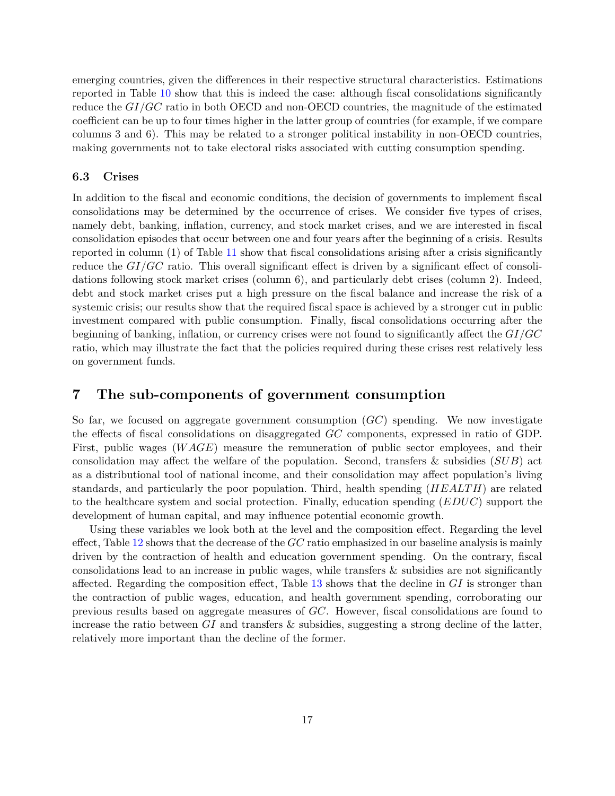emerging countries, given the differences in their respective structural characteristics. Estimations reported in Table [10](#page-15-1) show that this is indeed the case: although fiscal consolidations significantly reduce the *GI/GC* ratio in both OECD and non-OECD countries, the magnitude of the estimated coefficient can be up to four times higher in the latter group of countries (for example, if we compare columns 3 and 6). This may be related to a stronger political instability in non-OECD countries, making governments not to take electoral risks associated with cutting consumption spending.

#### **6.3 Crises**

In addition to the fiscal and economic conditions, the decision of governments to implement fiscal consolidations may be determined by the occurrence of crises. We consider five types of crises, namely debt, banking, inflation, currency, and stock market crises, and we are interested in fiscal consolidation episodes that occur between one and four years after the beginning of a crisis. Results reported in column (1) of Table [11](#page-17-0) show that fiscal consolidations arising after a crisis significantly reduce the *GI/GC* ratio. This overall significant effect is driven by a significant effect of consolidations following stock market crises (column 6), and particularly debt crises (column 2). Indeed, debt and stock market crises put a high pressure on the fiscal balance and increase the risk of a systemic crisis; our results show that the required fiscal space is achieved by a stronger cut in public investment compared with public consumption. Finally, fiscal consolidations occurring after the beginning of banking, inflation, or currency crises were not found to significantly affect the *GI/GC* ratio, which may illustrate the fact that the policies required during these crises rest relatively less on government funds.

### **7 The sub-components of government consumption**

So far, we focused on aggregate government consumption (*GC*) spending. We now investigate the effects of fiscal consolidations on disaggregated *GC* components, expressed in ratio of GDP. First, public wages (*W AGE*) measure the remuneration of public sector employees, and their consolidation may affect the welfare of the population. Second, transfers & subsidies (*SUB*) act as a distributional tool of national income, and their consolidation may affect population's living standards, and particularly the poor population. Third, health spending (*HEALT H*) are related to the healthcare system and social protection. Finally, education spending (*EDUC*) support the development of human capital, and may influence potential economic growth.

Using these variables we look both at the level and the composition effect. Regarding the level effect, Table [12](#page-18-0) shows that the decrease of the *GC* ratio emphasized in our baseline analysis is mainly driven by the contraction of health and education government spending. On the contrary, fiscal consolidations lead to an increase in public wages, while transfers & subsidies are not significantly affected. Regarding the composition effect, Table [13](#page-18-1) shows that the decline in *GI* is stronger than the contraction of public wages, education, and health government spending, corroborating our previous results based on aggregate measures of *GC*. However, fiscal consolidations are found to increase the ratio between *GI* and transfers & subsidies, suggesting a strong decline of the latter, relatively more important than the decline of the former.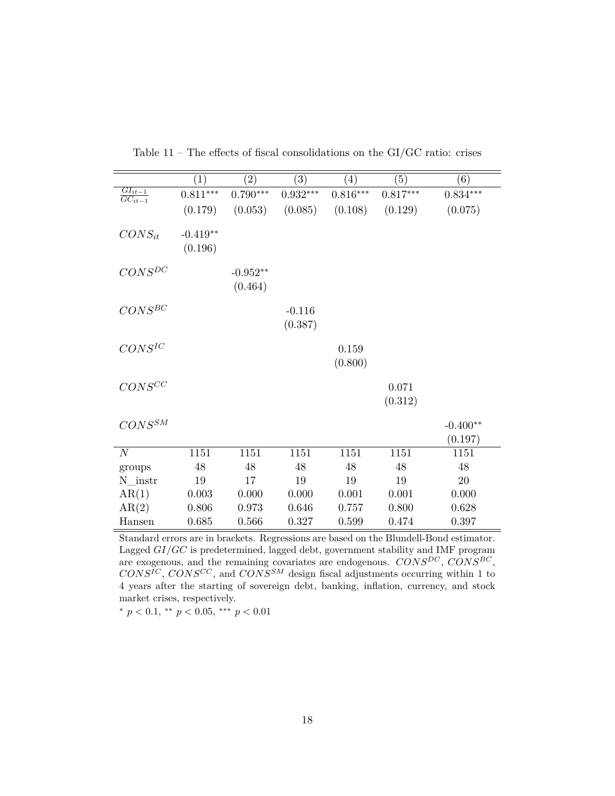<span id="page-17-0"></span>

|                                       | $\left( 1\right)$     | $\left( 2\right)$     | $\left( 3\right)$   | $\left( 4\right)$ | (5)              | (6)                   |
|---------------------------------------|-----------------------|-----------------------|---------------------|-------------------|------------------|-----------------------|
| $GI_{it-1}$<br>$\overline{GC_{it-1}}$ | $0.811***$            | $0.790***$            | $0.932***$          | $0.816***$        | $0.817***$       | $0.834***$            |
|                                       | (0.179)               | (0.053)               | (0.085)             | (0.108)           | (0.129)          | (0.075)               |
| $CONS_{it}$                           | $-0.419**$<br>(0.196) |                       |                     |                   |                  |                       |
| $CONS^{DC}$                           |                       | $-0.952**$<br>(0.464) |                     |                   |                  |                       |
| $CONS^{BC}$                           |                       |                       | $-0.116$<br>(0.387) |                   |                  |                       |
| $CONS^{IC}$                           |                       |                       |                     | 0.159<br>(0.800)  |                  |                       |
| $CONS^{CC}$                           |                       |                       |                     |                   | 0.071<br>(0.312) |                       |
| $CONS^{SM}$                           |                       |                       |                     |                   |                  | $-0.400**$<br>(0.197) |
| $\boldsymbol{N}$                      | 1151                  | 1151                  | 1151                | 1151              | 1151             | 1151                  |
| groups                                | 48                    | 48                    | 48                  | 48                | 48               | 48                    |
| $N_{\rm{instr}}$                      | 19                    | 17                    | 19                  | 19                | 19               | 20                    |
| AR(1)                                 | 0.003                 | 0.000                 | 0.000               | 0.001             | 0.001            | 0.000                 |
| AR(2)                                 | 0.806                 | 0.973                 | 0.646               | 0.757             | 0.800            | 0.628                 |
| Hansen                                | 0.685                 | 0.566                 | 0.327               | 0.599             | 0.474            | 0.397                 |

Table 11 – The effects of fiscal consolidations on the  $\rm GI/GC$  ratio: crises

Standard errors are in brackets. Regressions are based on the Blundell-Bond estimator. Lagged *GI/GC* is predetermined, lagged debt, government stability and IMF program are exogenous, and the remaining covariates are endogenous. *CONSDC* , *CONSBC* , *CONSIC* , *CONSCC* , and *CONSSM* design fiscal adjustments occurring within 1 to 4 years after the starting of sovereign debt, banking, inflation, currency, and stock market crises, respectively.

<sup>∗</sup> *p <* 0*.*1, ∗∗ *p <* 0*.*05, ∗∗∗ *p <* 0*.*01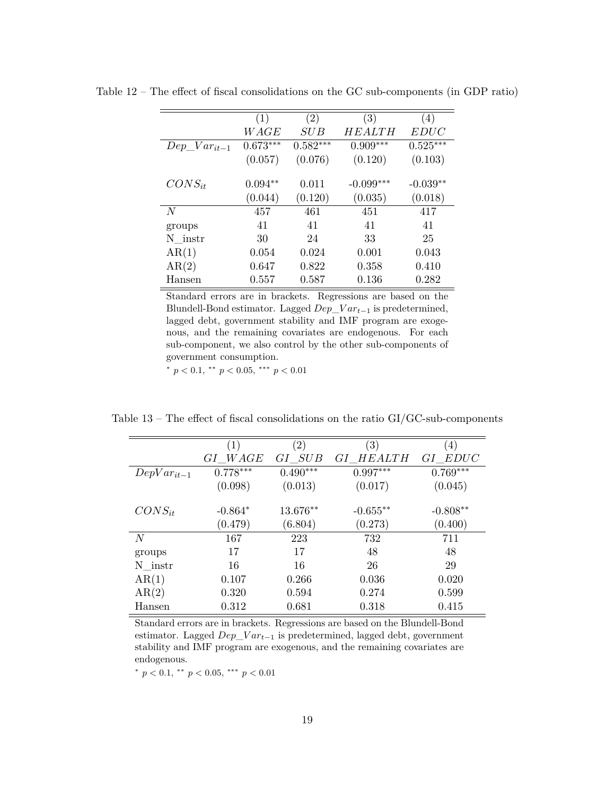|                   | (1)        | (2)            | (3)         | (4)        |
|-------------------|------------|----------------|-------------|------------|
|                   | WAGE       | $\mathit{SUB}$ | HEALTH      | EDUC       |
| $Dep\_Var_{it-1}$ | $0.673***$ | $0.582***$     | $0.909***$  | $0.525***$ |
|                   | (0.057)    | (0.076)        | (0.120)     | (0.103)    |
|                   |            |                |             |            |
| $CONS_{it}$       | $0.094**$  | 0.011          | $-0.099***$ | $-0.039**$ |
|                   | (0.044)    | (0.120)        | (0.035)     | (0.018)    |
| N                 | 457        | 461            | 451         | 417        |
| groups            | 41         | 41             | 41          | 41         |
| N instr           | 30         | 24             | 33          | 25         |
| AR(1)             | 0.054      | 0.024          | 0.001       | 0.043      |
| AR(2)             | 0.647      | 0.822          | 0.358       | 0.410      |
| Hansen            | 0.557      | 0.587          | 0.136       | 0.282      |

<span id="page-18-0"></span>Table 12 – The effect of fiscal consolidations on the GC sub-components (in GDP ratio)

Standard errors are in brackets. Regressions are based on the Blundell-Bond estimator. Lagged *Dep*\_*V art*−<sup>1</sup> is predetermined, lagged debt, government stability and IMF program are exogenous, and the remaining covariates are endogenous. For each sub-component, we also control by the other sub-components of government consumption.

 $p < 0.1,$  \*\*  $p < 0.05,$  \*\*\*  $p < 0.01$ 

<span id="page-18-1"></span>Table 13 – The effect of fiscal consolidations on the ratio GI/GC-sub-components

|                 | $\left( 1\right)$ | (2)        | $\left( 3\right)$ | (4)        |
|-----------------|-------------------|------------|-------------------|------------|
|                 | GI WAGE           | GI SUB     | <i>GI HEALTH</i>  | GI EDUC    |
| $DepVar_{it-1}$ | $0.778***$        | $0.490***$ | $0.997***$        | $0.769***$ |
|                 | (0.098)           | (0.013)    | (0.017)           | (0.045)    |
| $CONS_{it}$     | $-0.864*$         | 13.676**   | $-0.655**$        | $-0.808**$ |
|                 | (0.479)           | (6.804)    | (0.273)           | (0.400)    |
| N               | 167               | 223        | 732               | 711        |
| groups          | 17                | 17         | 48                | 48         |
| N instr         | 16                | 16         | 26                | 29         |
| AR(1)           | 0.107             | 0.266      | 0.036             | 0.020      |
| AR(2)           | 0.320             | 0.594      | 0.274             | 0.599      |
| Hansen          | 0.312             | 0.681      | 0.318             | 0.415      |

Standard errors are in brackets. Regressions are based on the Blundell-Bond estimator. Lagged *Dep*\_*V art*−<sup>1</sup> is predetermined, lagged debt, government stability and IMF program are exogenous, and the remaining covariates are endogenous.

 $p < 0.1, \cdot^* p < 0.05, \cdot^{**} p < 0.01$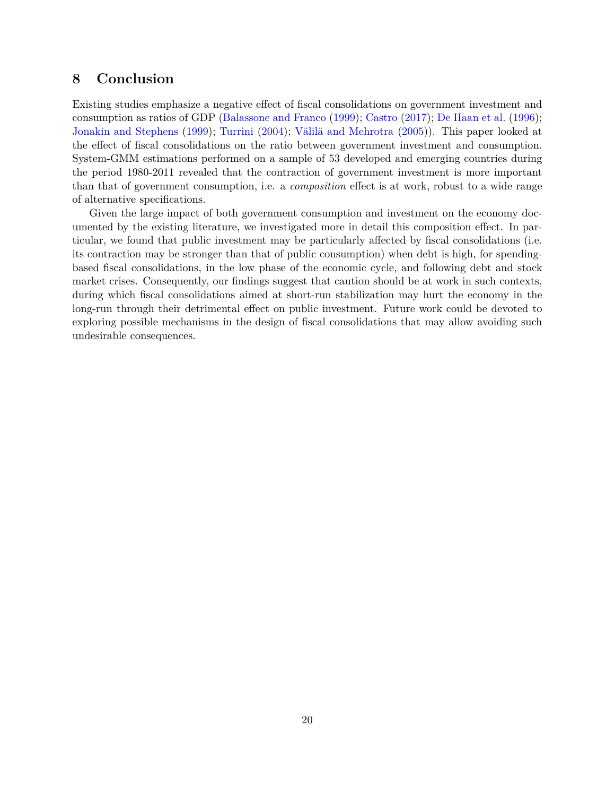## **8 Conclusion**

Existing studies emphasize a negative effect of fiscal consolidations on government investment and consumption as ratios of GDP [\(Balassone and Franco](#page-20-11) [\(1999\)](#page-20-11); [Castro](#page-21-7) [\(2017\)](#page-21-7); [De Haan et al.](#page-21-8) [\(1996\)](#page-21-8); [Jonakin and Stephens](#page-22-5) [\(1999\)](#page-22-5); [Turrini](#page-23-1) [\(2004\)](#page-23-1); [Välilä and Mehrotra](#page-23-2) [\(2005\)](#page-23-2)). This paper looked at the effect of fiscal consolidations on the ratio between government investment and consumption. System-GMM estimations performed on a sample of 53 developed and emerging countries during the period 1980-2011 revealed that the contraction of government investment is more important than that of government consumption, i.e. a *composition* effect is at work, robust to a wide range of alternative specifications.

Given the large impact of both government consumption and investment on the economy documented by the existing literature, we investigated more in detail this composition effect. In particular, we found that public investment may be particularly affected by fiscal consolidations (i.e. its contraction may be stronger than that of public consumption) when debt is high, for spendingbased fiscal consolidations, in the low phase of the economic cycle, and following debt and stock market crises. Consequently, our findings suggest that caution should be at work in such contexts, during which fiscal consolidations aimed at short-run stabilization may hurt the economy in the long-run through their detrimental effect on public investment. Future work could be devoted to exploring possible mechanisms in the design of fiscal consolidations that may allow avoiding such undesirable consequences.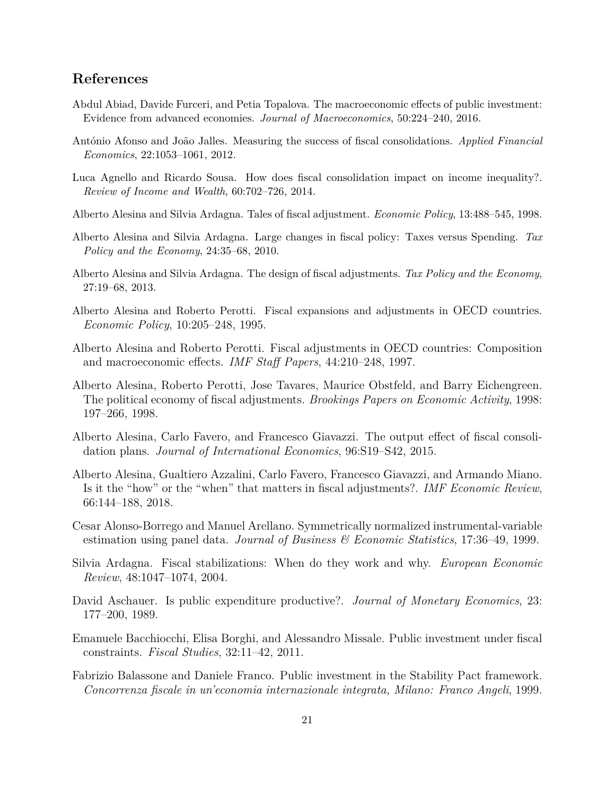## **References**

- <span id="page-20-9"></span>Abdul Abiad, Davide Furceri, and Petia Topalova. The macroeconomic effects of public investment: Evidence from advanced economies. *Journal of Macroeconomics*, 50:224–240, 2016.
- <span id="page-20-3"></span>António Afonso and João Jalles. Measuring the success of fiscal consolidations. *Applied Financial Economics*, 22:1053–1061, 2012.
- <span id="page-20-10"></span>Luca Agnello and Ricardo Sousa. How does fiscal consolidation impact on income inequality?. *Review of Income and Wealth*, 60:702–726, 2014.
- <span id="page-20-1"></span>Alberto Alesina and Silvia Ardagna. Tales of fiscal adjustment. *Economic Policy*, 13:488–545, 1998.
- <span id="page-20-2"></span>Alberto Alesina and Silvia Ardagna. Large changes in fiscal policy: Taxes versus Spending. *Tax Policy and the Economy*, 24:35–68, 2010.
- <span id="page-20-5"></span>Alberto Alesina and Silvia Ardagna. The design of fiscal adjustments. *Tax Policy and the Economy*, 27:19–68, 2013.
- <span id="page-20-4"></span>Alberto Alesina and Roberto Perotti. Fiscal expansions and adjustments in OECD countries. *Economic Policy*, 10:205–248, 1995.
- <span id="page-20-12"></span>Alberto Alesina and Roberto Perotti. Fiscal adjustments in OECD countries: Composition and macroeconomic effects. *IMF Staff Papers*, 44:210–248, 1997.
- <span id="page-20-14"></span>Alberto Alesina, Roberto Perotti, Jose Tavares, Maurice Obstfeld, and Barry Eichengreen. The political economy of fiscal adjustments. *Brookings Papers on Economic Activity*, 1998: 197–266, 1998.
- <span id="page-20-6"></span>Alberto Alesina, Carlo Favero, and Francesco Giavazzi. The output effect of fiscal consolidation plans. *Journal of International Economics*, 96:S19–S42, 2015.
- <span id="page-20-7"></span>Alberto Alesina, Gualtiero Azzalini, Carlo Favero, Francesco Giavazzi, and Armando Miano. Is it the "how" or the "when" that matters in fiscal adjustments?. *IMF Economic Review*, 66:144–188, 2018.
- <span id="page-20-13"></span>Cesar Alonso-Borrego and Manuel Arellano. Symmetrically normalized instrumental-variable estimation using panel data. *Journal of Business & Economic Statistics*, 17:36–49, 1999.
- <span id="page-20-0"></span>Silvia Ardagna. Fiscal stabilizations: When do they work and why. *European Economic Review*, 48:1047–1074, 2004.
- <span id="page-20-8"></span>David Aschauer. Is public expenditure productive?. *Journal of Monetary Economics*, 23: 177–200, 1989.
- <span id="page-20-15"></span>Emanuele Bacchiocchi, Elisa Borghi, and Alessandro Missale. Public investment under fiscal constraints. *Fiscal Studies*, 32:11–42, 2011.
- <span id="page-20-11"></span>Fabrizio Balassone and Daniele Franco. Public investment in the Stability Pact framework. *Concorrenza fiscale in un'economia internazionale integrata, Milano: Franco Angeli*, 1999.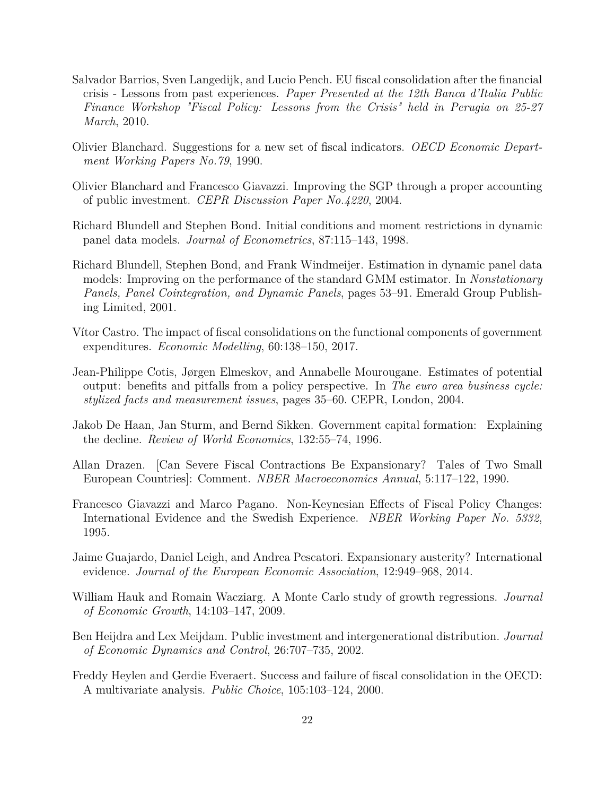- <span id="page-21-3"></span>Salvador Barrios, Sven Langedijk, and Lucio Pench. EU fiscal consolidation after the financial crisis - Lessons from past experiences. *Paper Presented at the 12th Banca d'Italia Public Finance Workshop "Fiscal Policy: Lessons from the Crisis" held in Perugia on 25-27 March*, 2010.
- <span id="page-21-10"></span>Olivier Blanchard. Suggestions for a new set of fiscal indicators. *OECD Economic Department Working Papers No.79*, 1990.
- <span id="page-21-11"></span>Olivier Blanchard and Francesco Giavazzi. Improving the SGP through a proper accounting of public investment. *CEPR Discussion Paper No.4220*, 2004.
- <span id="page-21-9"></span>Richard Blundell and Stephen Bond. Initial conditions and moment restrictions in dynamic panel data models. *Journal of Econometrics*, 87:115–143, 1998.
- <span id="page-21-13"></span>Richard Blundell, Stephen Bond, and Frank Windmeijer. Estimation in dynamic panel data models: Improving on the performance of the standard GMM estimator. In *Nonstationary Panels, Panel Cointegration, and Dynamic Panels*, pages 53–91. Emerald Group Publishing Limited, 2001.
- <span id="page-21-7"></span>Vítor Castro. The impact of fiscal consolidations on the functional components of government expenditures. *Economic Modelling*, 60:138–150, 2017.
- <span id="page-21-4"></span>Jean-Philippe Cotis, Jørgen Elmeskov, and Annabelle Mourougane. Estimates of potential output: benefits and pitfalls from a policy perspective. In *The euro area business cycle: stylized facts and measurement issues*, pages 35–60. CEPR, London, 2004.
- <span id="page-21-8"></span>Jakob De Haan, Jan Sturm, and Bernd Sikken. Government capital formation: Explaining the decline. *Review of World Economics*, 132:55–74, 1996.
- <span id="page-21-1"></span>Allan Drazen. [Can Severe Fiscal Contractions Be Expansionary? Tales of Two Small European Countries]: Comment. *NBER Macroeconomics Annual*, 5:117–122, 1990.
- <span id="page-21-0"></span>Francesco Giavazzi and Marco Pagano. Non-Keynesian Effects of Fiscal Policy Changes: International Evidence and the Swedish Experience. *NBER Working Paper No. 5332*, 1995.
- <span id="page-21-5"></span>Jaime Guajardo, Daniel Leigh, and Andrea Pescatori. Expansionary austerity? International evidence. *Journal of the European Economic Association*, 12:949–968, 2014.
- <span id="page-21-12"></span>William Hauk and Romain Wacziarg. A Monte Carlo study of growth regressions. *Journal of Economic Growth*, 14:103–147, 2009.
- <span id="page-21-6"></span>Ben Heijdra and Lex Meijdam. Public investment and intergenerational distribution. *Journal of Economic Dynamics and Control*, 26:707–735, 2002.
- <span id="page-21-2"></span>Freddy Heylen and Gerdie Everaert. Success and failure of fiscal consolidation in the OECD: A multivariate analysis. *Public Choice*, 105:103–124, 2000.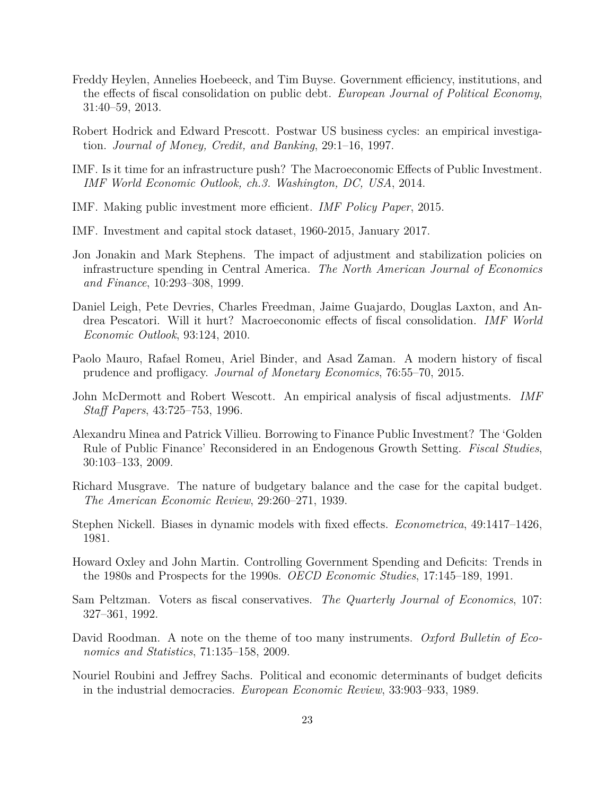- <span id="page-22-1"></span>Freddy Heylen, Annelies Hoebeeck, and Tim Buyse. Government efficiency, institutions, and the effects of fiscal consolidation on public debt. *European Journal of Political Economy*, 31:40–59, 2013.
- <span id="page-22-15"></span>Robert Hodrick and Edward Prescott. Postwar US business cycles: an empirical investigation. *Journal of Money, Credit, and Banking*, 29:1–16, 1997.
- <span id="page-22-2"></span>IMF. Is it time for an infrastructure push? The Macroeconomic Effects of Public Investment. *IMF World Economic Outlook, ch.3. Washington, DC, USA*, 2014.
- <span id="page-22-3"></span>IMF. Making public investment more efficient. *IMF Policy Paper*, 2015.
- <span id="page-22-11"></span>IMF. Investment and capital stock dataset, 1960-2015, January 2017.
- <span id="page-22-5"></span>Jon Jonakin and Mark Stephens. The impact of adjustment and stabilization policies on infrastructure spending in Central America. *The North American Journal of Economics and Finance*, 10:293–308, 1999.
- <span id="page-22-9"></span>Daniel Leigh, Pete Devries, Charles Freedman, Jaime Guajardo, Douglas Laxton, and Andrea Pescatori. Will it hurt? Macroeconomic effects of fiscal consolidation. *IMF World Economic Outlook*, 93:124, 2010.
- <span id="page-22-10"></span>Paolo Mauro, Rafael Romeu, Ariel Binder, and Asad Zaman. A modern history of fiscal prudence and profligacy. *Journal of Monetary Economics*, 76:55–70, 2015.
- <span id="page-22-0"></span>John McDermott and Robert Wescott. An empirical analysis of fiscal adjustments. *IMF Staff Papers*, 43:725–753, 1996.
- <span id="page-22-8"></span>Alexandru Minea and Patrick Villieu. Borrowing to Finance Public Investment? The 'Golden Rule of Public Finance' Reconsidered in an Endogenous Growth Setting. *Fiscal Studies*, 30:103–133, 2009.
- <span id="page-22-7"></span>Richard Musgrave. The nature of budgetary balance and the case for the capital budget. *The American Economic Review*, 29:260–271, 1939.
- <span id="page-22-12"></span>Stephen Nickell. Biases in dynamic models with fixed effects. *Econometrica*, 49:1417–1426, 1981.
- <span id="page-22-6"></span>Howard Oxley and John Martin. Controlling Government Spending and Deficits: Trends in the 1980s and Prospects for the 1990s. *OECD Economic Studies*, 17:145–189, 1991.
- <span id="page-22-14"></span>Sam Peltzman. Voters as fiscal conservatives. *The Quarterly Journal of Economics*, 107: 327–361, 1992.
- <span id="page-22-13"></span>David Roodman. A note on the theme of too many instruments. *Oxford Bulletin of Economics and Statistics*, 71:135–158, 2009.
- <span id="page-22-4"></span>Nouriel Roubini and Jeffrey Sachs. Political and economic determinants of budget deficits in the industrial democracies. *European Economic Review*, 33:903–933, 1989.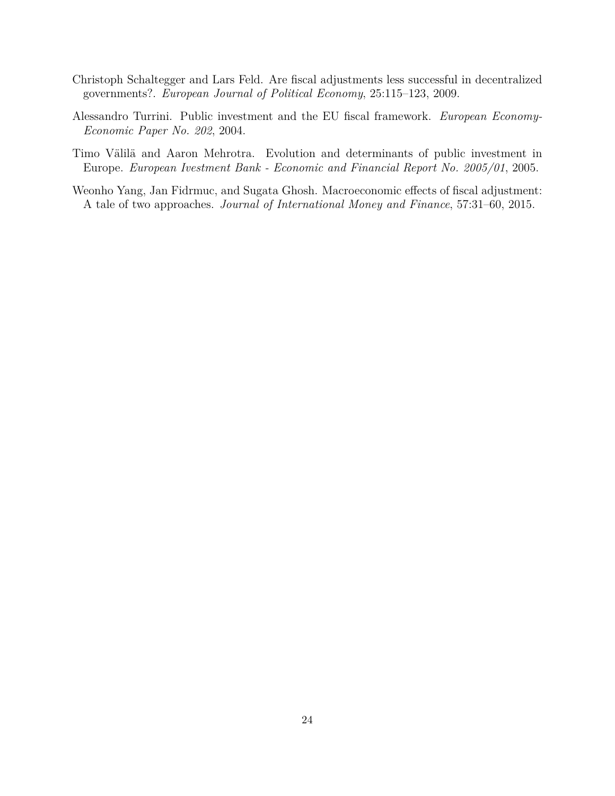- <span id="page-23-0"></span>Christoph Schaltegger and Lars Feld. Are fiscal adjustments less successful in decentralized governments?. *European Journal of Political Economy*, 25:115–123, 2009.
- <span id="page-23-1"></span>Alessandro Turrini. Public investment and the EU fiscal framework. *European Economy-Economic Paper No. 202*, 2004.
- <span id="page-23-2"></span>Timo Välilä and Aaron Mehrotra. Evolution and determinants of public investment in Europe. *European Ivestment Bank - Economic and Financial Report No. 2005/01*, 2005.
- <span id="page-23-3"></span>Weonho Yang, Jan Fidrmuc, and Sugata Ghosh. Macroeconomic effects of fiscal adjustment: A tale of two approaches. *Journal of International Money and Finance*, 57:31–60, 2015.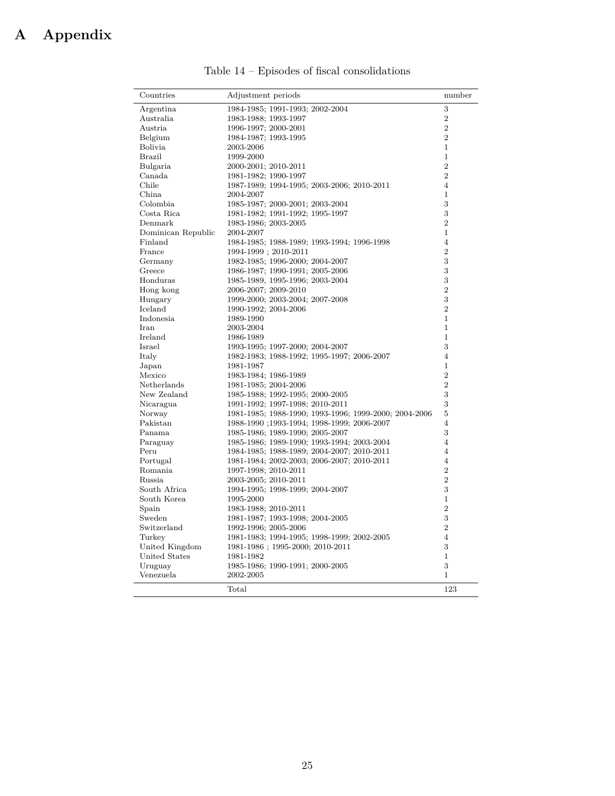# **A Appendix**

| Countries          | Adjustment periods                                    | number         |
|--------------------|-------------------------------------------------------|----------------|
| Argentina          | 1984-1985; 1991-1993; 2002-2004                       | 3              |
| Australia          | 1983-1988; 1993-1997                                  | $\overline{2}$ |
| Austria            | 1996-1997; 2000-2001                                  | $\overline{2}$ |
| Belgium            | 1984-1987; 1993-1995                                  | $\overline{2}$ |
| Bolivia            | 2003-2006                                             | $\mathbf{1}$   |
| Brazil             | 1999-2000                                             | $\mathbf{1}$   |
| Bulgaria           | 2000-2001; 2010-2011                                  | $\overline{2}$ |
| Canada             | 1981-1982; 1990-1997                                  | $\overline{2}$ |
| Chile              | 1987-1989; 1994-1995; 2003-2006; 2010-2011            | $\overline{4}$ |
| China              | 2004-2007                                             | 1              |
| Colombia           | 1985-1987; 2000-2001; 2003-2004                       | 3              |
| Costa Rica         | 1981-1982; 1991-1992; 1995-1997                       | 3              |
| Denmark            | 1983-1986; 2003-2005                                  | $\overline{2}$ |
| Dominican Republic | 2004-2007                                             | $\mathbf{1}$   |
| Finland            | 1984-1985; 1988-1989; 1993-1994; 1996-1998            | $\overline{4}$ |
| France             | 1994-1999; 2010-2011                                  | $\overline{2}$ |
| Germany            | 1982-1985; 1996-2000; 2004-2007                       | 3              |
| Greece             | 1986-1987; 1990-1991; 2005-2006                       | 3              |
| Honduras           | 1985-1989, 1995-1996; 2003-2004                       | 3              |
| Hong kong          | 2006-2007; 2009-2010                                  | $\overline{2}$ |
| Hungary            | 1999-2000; 2003-2004; 2007-2008                       | 3              |
| Iceland            | 1990-1992; 2004-2006                                  | $\overline{2}$ |
| Indonesia          | 1989-1990                                             | $\mathbf{1}$   |
| <b>Iran</b>        | 2003-2004                                             | $\mathbf{1}$   |
| Ireland            | 1986-1989                                             | $\mathbf{1}$   |
| Israel             | 1993-1995; 1997-2000; 2004-2007                       | 3              |
| Italy              | 1982-1983; 1988-1992; 1995-1997; 2006-2007            | $\overline{4}$ |
| Japan              | 1981-1987                                             | 1              |
| Mexico             | 1983-1984; 1986-1989                                  | $\overline{2}$ |
| Netherlands        | 1981-1985; 2004-2006                                  | $\overline{2}$ |
| New Zealand        | 1985-1988; 1992-1995; 2000-2005                       | 3              |
| Nicaragua          | 1991-1992; 1997-1998; 2010-2011                       | 3              |
| Norway             | 1981-1985; 1988-1990; 1993-1996; 1999-2000; 2004-2006 | 5              |
| Pakistan           | 1988-1990 ;1993-1994; 1998-1999; 2006-2007            | $\overline{4}$ |
| Panama             | 1985-1986; 1989-1990; 2005-2007                       | 3              |
| Paraguay           | 1985-1986; 1989-1990; 1993-1994; 2003-2004            | $\overline{4}$ |
| Peru               | 1984-1985; 1988-1989; 2004-2007; 2010-2011            | $\overline{4}$ |
| Portugal           | 1981-1984; 2002-2003; 2006-2007; 2010-2011            | $\overline{4}$ |
| Romania            | 1997-1998; 2010-2011                                  | $\overline{2}$ |
| Russia             | 2003-2005; 2010-2011                                  | $\overline{2}$ |
| South Africa       | 1994-1995; 1998-1999; 2004-2007                       | 3              |
| South Korea        | 1995-2000                                             | $\mathbf{1}$   |
| Spain              | 1983-1988; 2010-2011                                  | $\overline{2}$ |
| Sweden             | 1981-1987; 1993-1998; 2004-2005                       | 3              |
| Switzerland        | 1992-1996; 2005-2006                                  | $\overline{2}$ |
| Turkey             | 1981-1983; 1994-1995; 1998-1999; 2002-2005            | $\overline{4}$ |
| United Kingdom     | 1981-1986; 1995-2000; 2010-2011                       | 3              |
| United States      | 1981-1982                                             | $\mathbf{1}$   |
| Uruguay            | 1985-1986; 1990-1991; 2000-2005                       | 3              |
| Venezuela          | 2002-2005                                             | $\mathbf{1}$   |
|                    | Total                                                 | 123            |
|                    |                                                       |                |

Table  $14$  –  ${\bf Episodes}$  of fiscal consolidations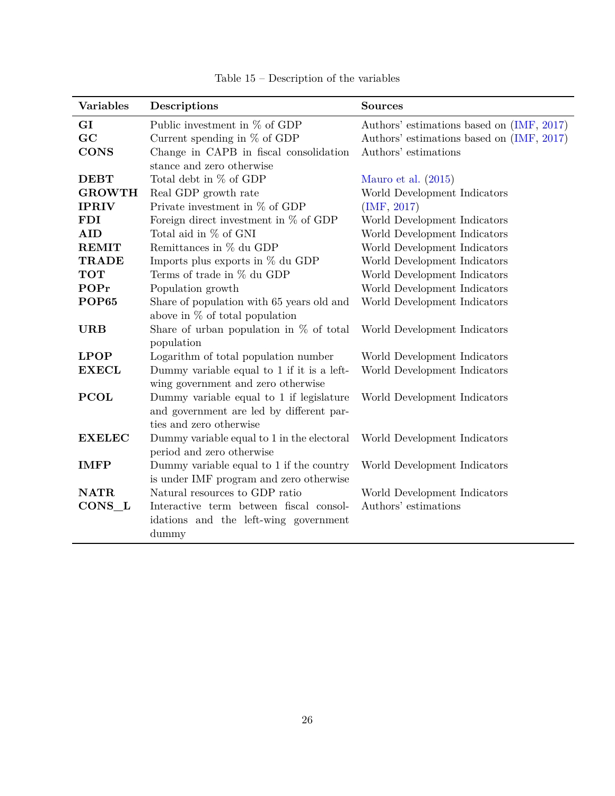| <b>Variables</b> | Descriptions                                                                                                    | <b>Sources</b>                            |  |  |
|------------------|-----------------------------------------------------------------------------------------------------------------|-------------------------------------------|--|--|
| GI               | Public investment in $\%$ of GDP                                                                                | Authors' estimations based on (IMF, 2017) |  |  |
| GC               | Current spending in $\%$ of GDP                                                                                 | Authors' estimations based on (IMF, 2017) |  |  |
| <b>CONS</b>      | Change in CAPB in fiscal consolidation                                                                          | Authors' estimations                      |  |  |
|                  | stance and zero otherwise                                                                                       |                                           |  |  |
| <b>DEBT</b>      | Total debt in % of GDP                                                                                          | Mauro et al. $(2015)$                     |  |  |
| <b>GROWTH</b>    | Real GDP growth rate                                                                                            | World Development Indicators              |  |  |
| <b>IPRIV</b>     | Private investment in % of GDP                                                                                  | (IMF, 2017)                               |  |  |
| <b>FDI</b>       | Foreign direct investment in $\%$ of GDP                                                                        | World Development Indicators              |  |  |
| <b>AID</b>       | Total aid in % of GNI                                                                                           | World Development Indicators              |  |  |
| <b>REMIT</b>     | Remittances in $\%$ du GDP                                                                                      | World Development Indicators              |  |  |
| <b>TRADE</b>     | Imports plus exports in $%$ du GDP                                                                              | World Development Indicators              |  |  |
| <b>TOT</b>       | Terms of trade in % du GDP                                                                                      | World Development Indicators              |  |  |
| POPr             | Population growth                                                                                               | World Development Indicators              |  |  |
| POP65            | Share of population with 65 years old and                                                                       | World Development Indicators              |  |  |
|                  | above in $%$ of total population                                                                                |                                           |  |  |
| <b>URB</b>       | Share of urban population in $\%$ of total<br>population                                                        | World Development Indicators              |  |  |
| <b>LPOP</b>      | Logarithm of total population number                                                                            | World Development Indicators              |  |  |
| <b>EXECL</b>     | Dummy variable equal to 1 if it is a left-<br>wing government and zero otherwise                                | World Development Indicators              |  |  |
| <b>PCOL</b>      | Dummy variable equal to 1 if legislature<br>and government are led by different par-<br>ties and zero otherwise | World Development Indicators              |  |  |
| <b>EXELEC</b>    | Dummy variable equal to 1 in the electoral<br>period and zero otherwise                                         | World Development Indicators              |  |  |
| <b>IMFP</b>      | Dummy variable equal to 1 if the country<br>is under IMF program and zero otherwise                             | World Development Indicators              |  |  |
| <b>NATR</b>      | Natural resources to GDP ratio                                                                                  | World Development Indicators              |  |  |
| $CONS_L$         | Interactive term between fiscal consol-                                                                         | Authors' estimations                      |  |  |
|                  | idations and the left-wing government<br>dummy                                                                  |                                           |  |  |

Table 15 – Description of the variables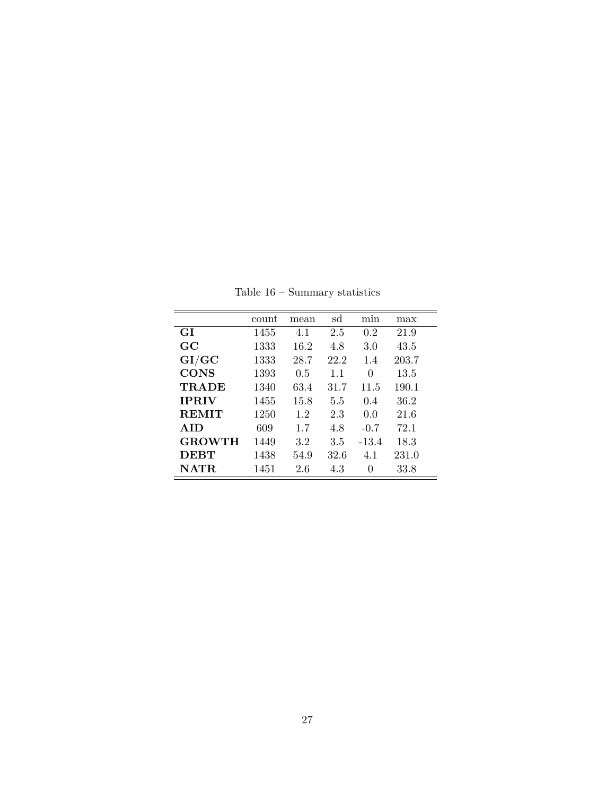|               | count | mean | sd   | min     | max   |
|---------------|-------|------|------|---------|-------|
| GI            | 1455  | 4.1  | 2.5  | 0.2     | 21.9  |
| GC            | 1333  | 16.2 | 4.8  | 3.0     | 43.5  |
| GI/GC         | 1333  | 28.7 | 22.2 | 1.4     | 203.7 |
| <b>CONS</b>   | 1393  | 0.5  | 1.1  | 0       | 13.5  |
| <b>TRADE</b>  | 1340  | 63.4 | 31.7 | 11.5    | 190.1 |
| <b>IPRIV</b>  | 1455  | 15.8 | 5.5  | 0.4     | 36.2  |
| <b>REMIT</b>  | 1250  | 1.2  | 2.3  | 0.0     | 21.6  |
| AID           | 609   | 1.7  | 4.8  | $-0.7$  | 72.1  |
| <b>GROWTH</b> | 1449  | 3.2  | 3.5  | $-13.4$ | 18.3  |
| <b>DEBT</b>   | 1438  | 54.9 | 32.6 | 4.1     | 231.0 |
| NATR.         | 1451  | 2.6  | 4.3  | 0       | 33.8  |

Table 16 – Summary statistics